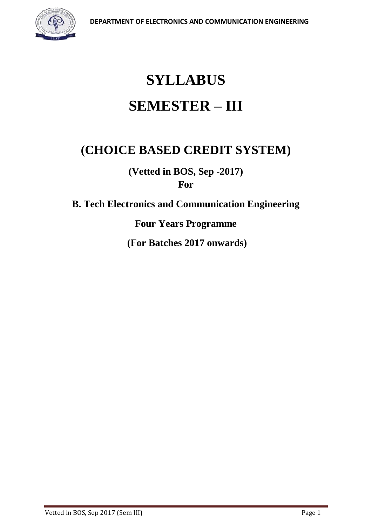

# **SYLLABUS SEMESTER – III**

# **(CHOICE BASED CREDIT SYSTEM)**

**(Vetted in BOS, Sep -2017) For**

**B. Tech Electronics and Communication Engineering**

**Four Years Programme**

**(For Batches 2017 onwards)**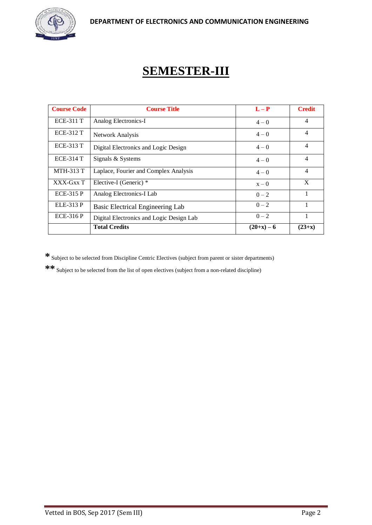

# **SEMESTER-III**

| <b>Course Code</b> | <b>Course Title</b>                      | $L - P$      | <b>Credit</b>  |
|--------------------|------------------------------------------|--------------|----------------|
| <b>ECE-311 T</b>   | Analog Electronics-I                     | $4 - 0$      | $\overline{4}$ |
| <b>ECE-312 T</b>   | Network Analysis                         | $4 - 0$      | 4              |
| <b>ECE-313 T</b>   | Digital Electronics and Logic Design     | $4 - 0$      | $\overline{4}$ |
| <b>ECE-314 T</b>   | Signals & Systems                        | $4 - 0$      | 4              |
| <b>MTH-313 T</b>   | Laplace, Fourier and Complex Analysis    | $4 - 0$      | $\overline{4}$ |
| XXX-Gxx T          | Elective-I (Generic) *                   | $x - 0$      | X              |
| <b>ECE-315 P</b>   | Analog Electronics-I Lab                 | $0 - 2$      |                |
| ELE-313 P          | Basic Electrical Engineering Lab         | $0 - 2$      |                |
| <b>ECE-316 P</b>   | Digital Electronics and Logic Design Lab | $0 - 2$      | 1              |
|                    | <b>Total Credits</b>                     | $(20+x) - 6$ | $(23+x)$       |

**\*** Subject to be selected from Discipline Centric Electives (subject from parent or sister departments)

**\*\*** Subject to be selected from the list of open electives (subject from a non-related discipline)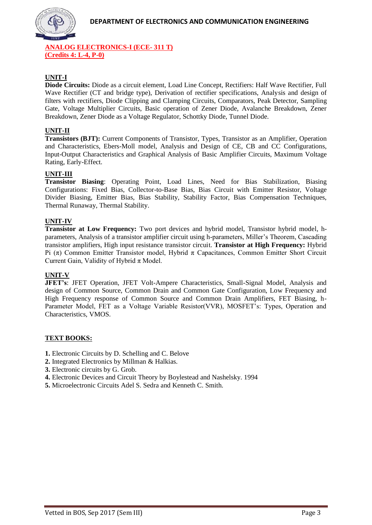

**ANALOG ELECTRONICS-I (ECE- 311 T) (Credits 4: L-4, P-0)**

#### **UNIT-I**

**Diode Circuits:** Diode as a circuit element, Load Line Concept, Rectifiers: Half Wave Rectifier, Full Wave Rectifier (CT and bridge type), Derivation of rectifier specifications, Analysis and design of filters with rectifiers, Diode Clipping and Clamping Circuits, Comparators, Peak Detector, Sampling Gate, Voltage Multiplier Circuits, Basic operation of Zener Diode, Avalanche Breakdown, Zener Breakdown, Zener Diode as a Voltage Regulator, Schottky Diode, Tunnel Diode.

#### **UNIT-II**

**Transistors (BJT):** Current Components of Transistor, Types, Transistor as an Amplifier, Operation and Characteristics, Ebers-Moll model, Analysis and Design of CE, CB and CC Configurations, Input-Output Characteristics and Graphical Analysis of Basic Amplifier Circuits, Maximum Voltage Rating, Early-Effect.

#### **UNIT-III**

**Transistor Biasing**: Operating Point, Load Lines, Need for Bias Stabilization, Biasing Configurations: Fixed Bias, Collector-to-Base Bias, Bias Circuit with Emitter Resistor, Voltage Divider Biasing, Emitter Bias, Bias Stability, Stability Factor, Bias Compensation Techniques, Thermal Runaway, Thermal Stability.

#### **UNIT-IV**

**Transistor at Low Frequency:** Two port devices and hybrid model, Transistor hybrid model, hparameters, Analysis of a transistor amplifier circuit using h-parameters, Miller's Theorem, Cascading transistor amplifiers, High input resistance transistor circuit. **Transistor at High Frequency:** Hybrid Pi (π) Common Emitter Transistor model, Hybrid π Capacitances, Common Emitter Short Circuit Current Gain, Validity of Hybrid  $\pi$  Model.

#### **UNIT-V**

**JFET's**: JFET Operation, JFET Volt-Ampere Characteristics, Small-Signal Model, Analysis and design of Common Source, Common Drain and Common Gate Configuration, Low Frequency and High Frequency response of Common Source and Common Drain Amplifiers, FET Biasing, h-Parameter Model, FET as a Voltage Variable Resistor(VVR), MOSFET's: Types, Operation and Characteristics, VMOS.

#### **TEXT BOOKS:**

- **1.** Electronic Circuits by D. Schelling and C. Belove
- **2.** Integrated Electronics by Millman & Halkias.
- **3.** Electronic circuits by G. Grob.
- **4.** Electronic Devices and Circuit Theory by Boylestead and Nashelsky. 1994
- **5.** Microelectronic Circuits Adel S. Sedra and Kenneth C. Smith.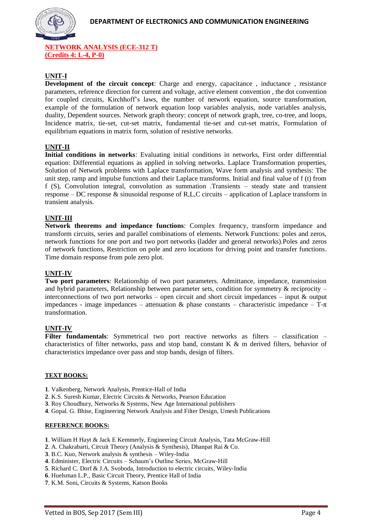

**NETWORK ANALYSIS (ECE-312 T) (Credits 4: L-4, P-0)**

#### **UNIT-I**

**Development of the circuit concept**: Charge and energy, capacitance , inductance , resistance parameters, reference direction for current and voltage, active element convention , the dot convention for coupled circuits, Kirchhoff's laws, the number of network equation, source transformation, example of the formulation of network equation loop variables analysis, node variables analysis, duality, Dependent sources. Network graph theory: concept of network graph, tree, co-tree, and loops, Incidence matrix, tie-set, cut-set matrix, fundamental tie-set and cut-set matrix, Formulation of equilibrium equations in matrix form, solution of resistive networks.

#### **UNIT-II**

**Initial conditions in networks**: Evaluating initial conditions in networks, First order differential equation: Differential equations as applied in solving networks. Laplace Transformation properties, Solution of Network problems with Laplace transformation, Wave form analysis and synthesis: The unit step, ramp and impulse functions and their Laplace transforms. Initial and final value of f (t) from f (S), Convolution integral, convolution as summation .Transients – steady state and transient response – DC response & sinusoidal response of R,L,C circuits – application of Laplace transform in transient analysis.

#### **UNIT-III**

**Network theorems and impedance functions**: Complex frequency, transform impedance and transform circuits, series and parallel combinations of elements. Network Functions: poles and zeros, network functions for one port and two port networks (ladder and general networks).Poles and zeros of network functions, Restriction on pole and zero locations for driving point and transfer functions. Time domain response from pole zero plot.

#### **UNIT-IV**

**Two port parameters**: Relationship of two port parameters. Admittance, impedance, transmission and hybrid parameters, Relationship between parameter sets, condition for symmetry  $\&$  reciprocity – interconnections of two port networks – open circuit and short circuit impedances – input & output impedances - image impedances – attenuation & phase constants – characteristic impedance –  $T-\pi$ transformation.

#### **UNIT-IV**

Filter fundamentals: Symmetrical two port reactive networks as filters - classification characteristics of filter networks, pass and stop band, constant K & m derived filters, behavior of characteristics impedance over pass and stop bands, design of filters.

#### **TEXT BOOKS:**

- **1**. Valkenberg, Network Analysis, Prentice-Hall of India
- **2**. K.S. Suresh Kumar, Electric Circuits & Networks, Pearson Education
- **3**. Roy Choudhury, Networks & Systems, New Age International publishers
- **4**. Gopal. G. Bhise, Engineering Network Analysis and Filter Design, Umesh Publications

#### **REFERENCE BOOKS:**

- **1**. William H Hayt & Jack E Kemmerly, Engineering Circuit Analysis, Tata McGraw-Hill
- **2**. A. Chakrabarti, Circuit Theory (Analysis & Synthesis), Dhanpat Rai & Co.
- **3**. B.C. Kuo, Network analysis & synthesis Wiley-India
- **4**. Edminister, Electric Circuits Schaum's Outline Series, McGraw-Hill
- **5**. Richard C. Dorf & J.A. Svoboda, Introduction to electric circuits, Wiley-India
- **6**. Huelsman L.P., Basic Circuit Theory, Prentice Hall of India
- **7**. K.M. Soni, Circuits & Systems, Katson Books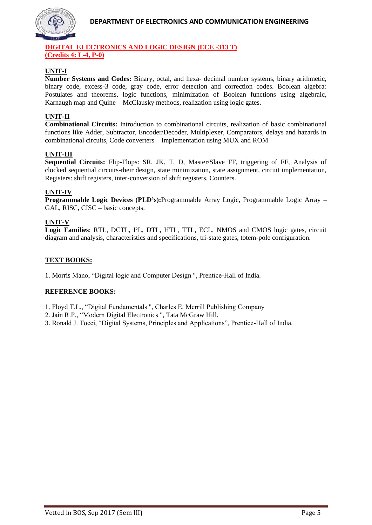

#### **DIGITAL ELECTRONICS AND LOGIC DESIGN (ECE -313 T) (Credits 4: L-4, P-0)**

# **UNIT-I**

**Number Systems and Codes:** Binary, octal, and hexa- decimal number systems, binary arithmetic, binary code, excess-3 code, gray code, error detection and correction codes. Boolean algebra: Postulates and theorems, logic functions, minimization of Boolean functions using algebraic, Karnaugh map and Quine – McClausky methods, realization using logic gates.

#### **UNIT-II**

**Combinational Circuits:** Introduction to combinational circuits, realization of basic combinational functions like Adder, Subtractor, Encoder/Decoder, Multiplexer, Comparators, delays and hazards in combinational circuits, Code converters – Implementation using MUX and ROM

#### **UNIT-III**

**Sequential Circuits:** Flip-Flops: SR, JK, T, D, Master/Slave FF, triggering of FF, Analysis of clocked sequential circuits-their design, state minimization, state assignment, circuit implementation, Registers: shift registers, inter-conversion of shift registers, Counters.

#### **UNIT-IV**

**Programmable Logic Devices (PLD's):**Programmable Array Logic, Programmable Logic Array – GAL, RISC, CISC – basic concepts.

#### **UNIT-V**

**Logic Families**: RTL, DCTL, I²L, DTL, HTL, TTL, ECL, NMOS and CMOS logic gates, circuit diagram and analysis, characteristics and specifications, tri-state gates, totem-pole configuration.

#### **TEXT BOOKS:**

1. Morris Mano, "Digital logic and Computer Design ", Prentice-Hall of India.

#### **REFERENCE BOOKS:**

1. Floyd T.L., "Digital Fundamentals ", Charles E. Merrill Publishing Company

- 2. Jain R.P., "Modern Digital Electronics ", Tata McGraw Hill.
- 3. Ronald J. Tocci, "Digital Systems, Principles and Applications", Prentice-Hall of India.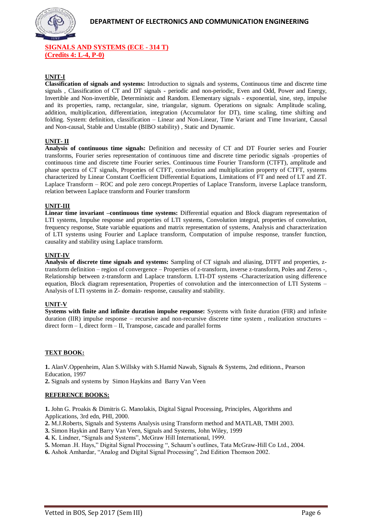

**SIGNALS AND SYSTEMS (ECE - 314 T) (Credits 4: L-4, P-0)**

#### **UNIT-I**

**Classification of signals and systems:** Introduction to signals and systems, Continuous time and discrete time signals , Classification of CT and DT signals - periodic and non-periodic, Even and Odd, Power and Energy, Invertible and Non-invertible, Deterministic and Random. Elementary signals - exponential, sine, step, impulse and its properties, ramp, rectangular, sine, triangular, signum. Operations on signals: Amplitude scaling, addition, multiplication, differentiation, integration (Accumulator for DT), time scaling, time shifting and folding. System: definition, classification – Linear and Non-Linear, Time Variant and Time Invariant, Causal and Non-causal, Stable and Unstable (BIBO stability) , Static and Dynamic.

#### **UNIT- II**

**Analysis of continuous time signals:** Definition and necessity of CT and DT Fourier series and Fourier transforms, Fourier series representation of continuous time and discrete time periodic signals -properties of continuous time and discrete time Fourier series. Continuous time Fourier Transform (CTFT), amplitude and phase spectra of CT signals, Properties of CTFT, convolution and multiplication property of CTFT, systems characterized by Linear Constant Coefficient Differential Equations, Limitations of FT and need of LT and ZT. Laplace Transform – ROC and pole zero concept.Properties of Laplace Transform, inverse Laplace transform, relation between Laplace transform and Fourier transform

#### **UNIT-III**

**Linear time invariant –continuous time systems:** Differential equation and Block diagram representation of LTI systems, Impulse response and properties of LTI systems, Convolution integral, properties of convolution, frequency response, State variable equations and matrix representation of systems, Analysis and characterization of LTI systems using Fourier and Laplace transform, Computation of impulse response, transfer function, causality and stability using Laplace transform.

#### **UNIT-IV**

**Analysis of discrete time signals and systems:** Sampling of CT signals and aliasing, DTFT and properties, ztransform definition – region of convergence – Properties of z-transform, inverse z-transform, Poles and Zeros -, Relationship between z-transform and Laplace transform. LTI-DT systems -Characterization using difference equation, Block diagram representation, Properties of convolution and the interconnection of LTI Systems – Analysis of LTI systems in Z- domain- response, causality and stability.

#### **UNIT-V**

**Systems with finite and infinite duration impulse response:** Systems with finite duration (FIR) and infinite duration (IIR) impulse response – recursive and non-recursive discrete time system , realization structures – direct form – I, direct form – II, Transpose, cascade and parallel forms

#### **TEXT BOOK:**

**1.** AlanV.Oppenheim, Alan S.Willsky with S.Hamid Nawab, Signals & Systems, 2nd editionn., Pearson Education, 1997

**2.** Signals and systems by Simon Haykins and Barry Van Veen

#### **REFERENCE BOOKS:**

**1.** John G. Proakis & Dimitris G. Manolakis, Digital Signal Processing, Principles, Algorithms and Applications, 3rd edn, PHI, 2000.

**2.** M.J.Roberts, Signals and Systems Analysis using Transform method and MATLAB, TMH 2003.

**3.** Simon Haykin and Barry Van Veen, Signals and Systems, John Wiley, 1999

- **4.** K. Lindner, "Signals and Systems", McGraw Hill International, 1999.
- **5.** Moman .H. Hays," Digital Signal Processing ", Schaum's outlines, Tata McGraw-Hill Co Ltd., 2004.
- **6.** Ashok Amhardar, "Analog and Digital Signal Processing", 2nd Edition Thomson 2002.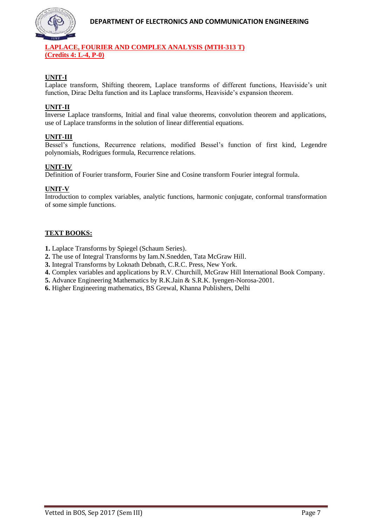

#### **LAPLACE, FOURIER AND COMPLEX ANALYSIS (MTH-313 T) (Credits 4: L-4, P-0)**

# **UNIT-I**

Laplace transform, Shifting theorem, Laplace transforms of different functions, Heaviside's unit function, Dirac Delta function and its Laplace transforms, Heaviside's expansion theorem.

#### **UNIT-II**

Inverse Laplace transforms, Initial and final value theorems, convolution theorem and applications, use of Laplace transforms in the solution of linear differential equations.

#### **UNIT-III**

Bessel's functions, Recurrence relations, modified Bessel's function of first kind, Legendre polynomials, Rodrigues formula, Recurrence relations.

#### **UNIT-IV**

Definition of Fourier transform, Fourier Sine and Cosine transform Fourier integral formula.

#### **UNIT-V**

Introduction to complex variables, analytic functions, harmonic conjugate, conformal transformation of some simple functions.

#### **TEXT BOOKS:**

**1.** Laplace Transforms by Spiegel (Schaum Series).

- **2.** The use of Integral Transforms by Iam.N.Snedden, Tata McGraw Hill.
- **3.** Integral Transforms by Loknath Debnath, C.R.C. Press, New York.
- **4.** Complex variables and applications by R.V. Churchill, McGraw Hill International Book Company.
- **5.** Advance Engineering Mathematics by R.K.Jain & S.R.K. Iyengen-Norosa-2001.
- **6.** Higher Engineering mathematics, BS Grewal, Khanna Publishers, Delhi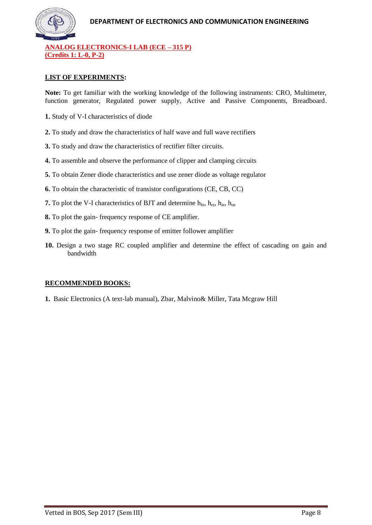

**ANALOG ELECTRONICS-I LAB (ECE – 315 P) (Credits 1: L-0, P-2)**

#### **LIST OF EXPERIMENTS:**

**Note:** To get familiar with the working knowledge of the following instruments: CRO, Multimeter, function generator, Regulated power supply, Active and Passive Components, Breadboard.

- **1.** Study of V-I characteristics of diode
- **2.** To study and draw the characteristics of half wave and full wave rectifiers
- **3.** To study and draw the characteristics of rectifier filter circuits.
- **4.** To assemble and observe the performance of clipper and clamping circuits
- **5.** To obtain Zener diode characteristics and use zener diode as voltage regulator
- **6.** To obtain the characteristic of transistor configurations (CE, CB, CC)
- **7.** To plot the V-I characteristics of BJT and determine  $h_{\text{fe}}$ ,  $h_{\text{re}}$ ,  $h_{\text{ie}}$ ,  $h_{\text{ce}}$
- **8.** To plot the gain- frequency response of CE amplifier.
- **9.** To plot the gain- frequency response of emitter follower amplifier
- **10.** Design a two stage RC coupled amplifier and determine the effect of cascading on gain and bandwidth

#### **RECOMMENDED BOOKS:**

**1.** Basic Electronics (A text-lab manual), Zbar, Malvino& Miller, Tata Mcgraw Hill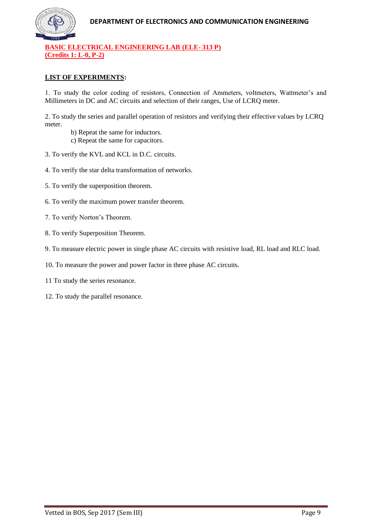

**BASIC ELECTRICAL ENGINEERING LAB (ELE- 313 P) (Credits 1: L-0, P-2)**

#### **LIST OF EXPERIMENTS:**

1. To study the color coding of resistors, Connection of Ammeters, voltmeters, Wattmeter's and Millimeters in DC and AC circuits and selection of their ranges, Use of LCRQ meter.

2. To study the series and parallel operation of resistors and verifying their effective values by LCRQ meter.

- b) Repeat the same for inductors.
- c) Repeat the same for capacitors.
- 3. To verify the KVL and KCL in D.C. circuits.
- 4. To verify the star delta transformation of networks.
- 5. To verify the superposition theorem.
- 6. To verify the maximum power transfer theorem.
- 7. To verify Norton's Theorem.
- 8. To verify Superposition Theorem.
- 9. To measure electric power in single phase AC circuits with resistive load, RL load and RLC load.
- 10. To measure the power and power factor in three phase AC circuits.
- 11 To study the series resonance.
- 12. To study the parallel resonance.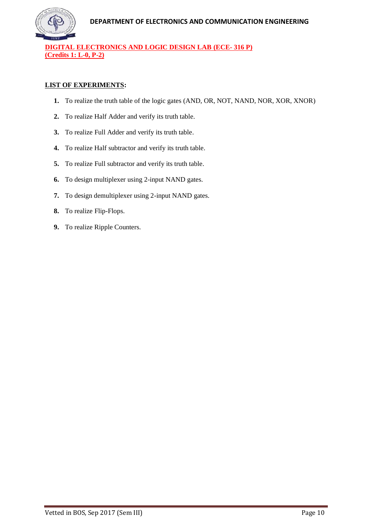

**DIGITAL ELECTRONICS AND LOGIC DESIGN LAB (ECE- 316 P) (Credits 1: L-0, P-2)**

#### **LIST OF EXPERIMENTS:**

- **1.** To realize the truth table of the logic gates (AND, OR, NOT, NAND, NOR, XOR, XNOR)
- **2.** To realize Half Adder and verify its truth table.
- **3.** To realize Full Adder and verify its truth table.
- **4.** To realize Half subtractor and verify its truth table.
- **5.** To realize Full subtractor and verify its truth table.
- **6.** To design multiplexer using 2-input NAND gates.
- **7.** To design demultiplexer using 2-input NAND gates.
- **8.** To realize Flip-Flops.
- **9.** To realize Ripple Counters.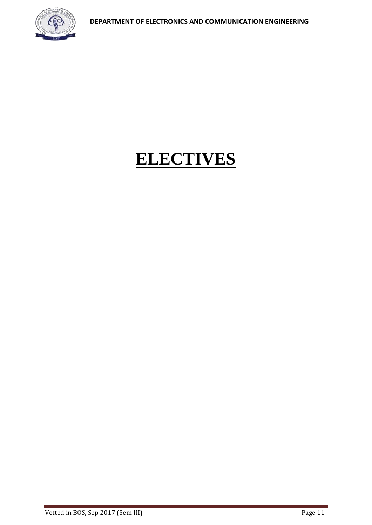

# **ELECTIVES**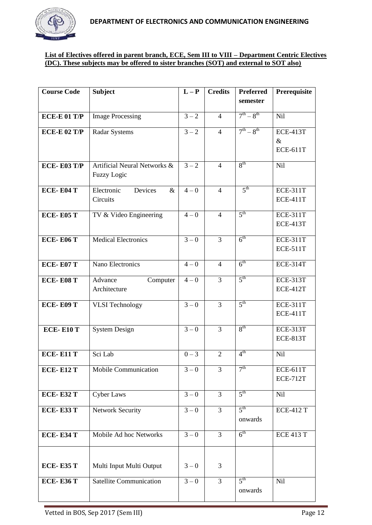

#### **List of Electives offered in parent branch, ECE, Sem III to VIII – Department Centric Electives (DC). These subjects may be offered to sister branches (SOT) and external to SOT also)**

| <b>Course Code</b>  | <b>Subject</b>                | $L - P$          | <b>Credits</b> | <b>Preferred</b>  | Prerequisite                       |
|---------------------|-------------------------------|------------------|----------------|-------------------|------------------------------------|
|                     |                               |                  |                | semester          |                                    |
| <b>ECE-E 01 T/P</b> | <b>Image Processing</b>       | $3 - 2$          | $\overline{4}$ | $7^{th} - 8^{th}$ | <b>Nil</b>                         |
| <b>ECE-E 02 T/P</b> | <b>Radar Systems</b>          | $3 - 2$          | $\overline{4}$ | $7^{th} - 8^{th}$ | <b>ECE-413T</b>                    |
|                     |                               |                  |                |                   | $\&$                               |
|                     |                               |                  |                |                   | <b>ECE-611T</b>                    |
| <b>ECE-E03 T/P</b>  | Artificial Neural Networks &  | $3 - 2$          | $\overline{4}$ | 8 <sup>th</sup>   | <b>Nil</b>                         |
|                     | <b>Fuzzy Logic</b>            |                  |                |                   |                                    |
| <b>ECE-E04 T</b>    | Electronic<br>Devices<br>$\&$ | $4 - 0$          | $\overline{4}$ | 5 <sup>th</sup>   | <b>ECE-311T</b>                    |
|                     | Circuits                      |                  |                |                   | <b>ECE-411T</b>                    |
| <b>ECE-E05 T</b>    | TV & Video Engineering        | $4 - 0$          | $\overline{4}$ | 5 <sup>th</sup>   | <b>ECE-311T</b>                    |
|                     |                               |                  |                |                   | <b>ECE-413T</b>                    |
| <b>ECE-E06 T</b>    | <b>Medical Electronics</b>    | $3 - 0$          | $\overline{3}$ | 6 <sup>th</sup>   | <b>ECE-311T</b>                    |
|                     |                               |                  |                |                   | <b>ECE-511T</b>                    |
| <b>ECE-E07 T</b>    | Nano Electronics              | $4 - 0$          | $\overline{4}$ | 6 <sup>th</sup>   | <b>ECE-314T</b>                    |
|                     |                               |                  |                |                   |                                    |
| <b>ECE-E08 T</b>    | Advance<br>Computer           | $4 - 0$          | 3              | 5 <sup>th</sup>   | <b>ECE-313T</b>                    |
|                     | Architecture                  |                  |                |                   | <b>ECE-412T</b>                    |
| <b>ECE-E09 T</b>    | <b>VLSI</b> Technology        | $3 - 0$          | $\overline{3}$ | 5 <sup>th</sup>   | <b>ECE-311T</b>                    |
|                     |                               |                  |                |                   | <b>ECE-411T</b>                    |
| <b>ECE-E10 T</b>    | <b>System Design</b>          | $3 - 0$          | $\overline{3}$ | 8 <sup>th</sup>   | <b>ECE-313T</b>                    |
|                     |                               |                  |                |                   | <b>ECE-813T</b>                    |
| <b>ECE-E11 T</b>    | Sci Lab                       | $0 - 3$          | $\overline{2}$ | 4 <sup>th</sup>   | <b>Nil</b>                         |
|                     |                               |                  |                |                   |                                    |
| <b>ECE-E12 T</b>    | Mobile Communication          | $3 - 0$          | 3              | 7 <sup>th</sup>   | <b>ECE-611T</b><br><b>ECE-712T</b> |
|                     |                               |                  |                |                   |                                    |
| <b>ECE-E32 T</b>    | <b>Cyber Laws</b>             | $3 - 0$          | $\overline{3}$ | $5^{\text{th}}$   | Nil                                |
| <b>ECE-E33 T</b>    | <b>Network Security</b>       | $\overline{3}-0$ | $\overline{3}$ | 5 <sup>th</sup>   | <b>ECE-412 T</b>                   |
|                     |                               |                  |                | onwards           |                                    |
| <b>ECE-E34 T</b>    | Mobile Ad hoc Networks        | $3 - 0$          | $\overline{3}$ | $6^{\text{th}}$   | <b>ECE 413 T</b>                   |
|                     |                               |                  |                |                   |                                    |
|                     |                               |                  |                |                   |                                    |
| <b>ECE-E35 T</b>    | Multi Input Multi Output      | $3 - 0$          | 3              |                   |                                    |
| <b>ECE-E36 T</b>    | Satellite Communication       | $3 - 0$          | $\overline{3}$ | 5 <sup>th</sup>   | Nil                                |
|                     |                               |                  |                | onwards           |                                    |
|                     |                               |                  |                |                   |                                    |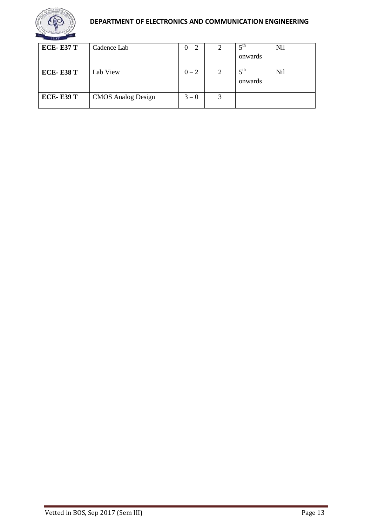

# **DEPARTMENT OF ELECTRONICS AND COMMUNICATION ENGINEERING**

| <b>ECE-E37 T</b> | Cadence Lab               | $0 - 2$ |   | $\zeta$ <sup>th</sup>    | Nil |
|------------------|---------------------------|---------|---|--------------------------|-----|
|                  |                           |         |   | onwards                  |     |
| <b>ECE-E38 T</b> | Lab View                  | $0 - 2$ | 2 | $\epsilon$ th<br>onwards | Nil |
| <b>ECE-E39 T</b> | <b>CMOS</b> Analog Design | $3 - 0$ | 3 |                          |     |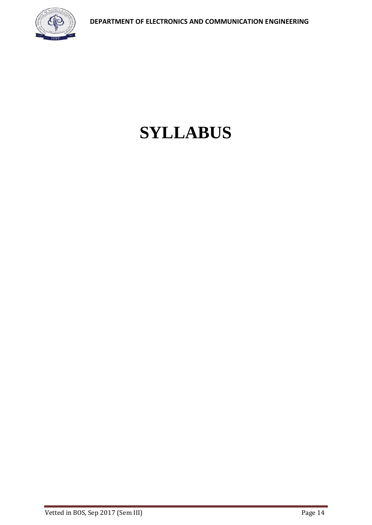

# **SYLLABUS**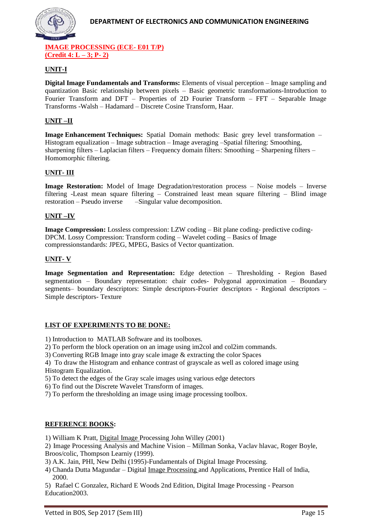

**IMAGE PROCESSING (ECE- E01 T/P) (Credit 4: L – 3; P- 2)**

#### **UNIT-I**

**Digital Image Fundamentals and Transforms:** Elements of visual perception – Image sampling and quantization Basic relationship between pixels – Basic geometric transformations-Introduction to Fourier Transform and DFT – Properties of 2D Fourier Transform – FFT – Separable Image Transforms -Walsh – Hadamard – Discrete Cosine Transform, Haar.

#### **UNIT –II**

**Image Enhancement Techniques:** Spatial Domain methods: Basic grey level transformation– Histogram equalization – Image subtraction – Image averaging –Spatial filtering: Smoothing, sharpening filters – Laplacian filters – Frequency domain filters: Smoothing – Sharpening filters – Homomorphic filtering.

#### **UNIT- III**

**Image Restoration:** Model of Image Degradation/restoration process – Noise models – Inverse filtering -Least mean square filtering – Constrained least mean square filtering – Blind image restoration – Pseudo inverse –Singular value decomposition.

#### **UNIT –IV**

**Image Compression:** Lossless compression: LZW coding – Bit plane coding- predictive coding-DPCM. Lossy Compression: Transform coding – Wavelet coding – Basics of Image compressionstandards: JPEG, MPEG, Basics of Vector quantization.

#### **UNIT- V**

**Image Segmentation and Representation:** Edge detection – Thresholding - Region Based segmentation – Boundary representation: chair codes- Polygonal approximation – Boundary segments– boundary descriptors: Simple descriptors-Fourier descriptors - Regional descriptors – Simple descriptors- Texture

#### **LIST OF EXPERIMENTS TO BE DONE:**

- 1) Introduction to MATLAB Software and its toolboxes.
- 2) To perform the block operation on an image using im2col and col2im commands.
- 3) Converting RGB Image into gray scale image & extracting the color Spaces

4) To draw the Histogram and enhance contrast of grayscale as well as colored image using Histogram Equalization.

5) To detect the edges of the Gray scale images using various edge detectors

- 6) To find out the Discrete Wavelet Transform of images.
- 7) To perform the thresholding an image using image processing toolbox.

#### **REFERENCE BOOKS:**

1) William K Pratt, [Digital Image P](http://www.indiastudychannel.com/resources/35366-EC-DIGITAL-IMAGE-PROCESSING-Syllabus-Anna.aspx)rocessing John Willey (2001)

2) Image Processing Analysis and Machine Vision – Millman Sonka, Vaclav hlavac, Roger Boyle, Broos/colic, Thompson Learniy (1999).

- 3) A.K. Jain, PHI, New Delhi (1995)-Fundamentals of Digital Image Processing.
- 4) Chanda Dutta Magundar Digital [Image Processing a](http://www.indiastudychannel.com/resources/35366-EC-DIGITAL-IMAGE-PROCESSING-Syllabus-Anna.aspx)nd Applications, Prentice Hall of India, 2000.

5) Rafael C Gonzalez, Richard E Woods 2nd Edition, Digital Image Processing - Pearson Education2003.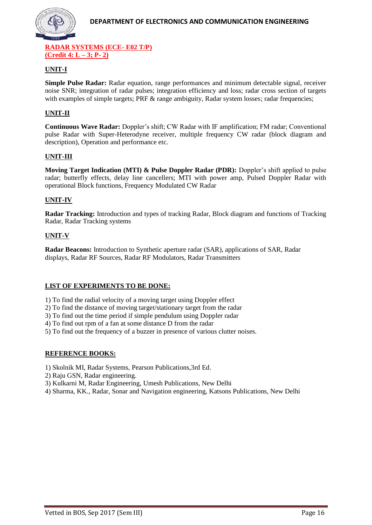

**RADAR SYSTEMS (ECE- E02 T/P) (Credit 4: L – 3; P- 2)**

#### **UNIT-I**

**Simple Pulse Radar:** Radar equation, range performances and minimum detectable signal, receiver noise SNR; integration of radar pulses; integration efficiency and loss; radar cross section of targets with examples of simple targets; PRF & range ambiguity, Radar system losses; radar frequencies;

#### **UNIT-II**

**Continuous Wave Radar:** Doppler's shift; CW Radar with IF amplification; FM radar; Conventional pulse Radar with Super-Heterodyne receiver, multiple frequency CW radar (block diagram and description), Operation and performance etc.

#### **UNIT-III**

**Moving Target Indication (MTI) & Pulse Doppler Radar (PDR):** Doppler's shift applied to pulse radar; butterfly effects, delay line cancellers; MTI with power amp, Pulsed Doppler Radar with operational Block functions, Frequency Modulated CW Radar

#### **UNIT-IV**

**Radar Tracking:** Introduction and types of tracking Radar, Block diagram and functions of Tracking Radar, Radar Tracking systems

#### **UNIT-V**

**Radar Beacons:** Introduction to Synthetic aperture radar (SAR), applications of SAR, Radar displays, Radar RF Sources, Radar RF Modulators, Radar Transmitters

#### **LIST OF EXPERIMENTS TO BE DONE:**

1) To find the radial velocity of a moving target using Doppler effect

2) To find the distance of moving target/stationary target from the radar

3) To find out the time period if simple pendulum using Doppler radar

4) To find out rpm of a fan at some distance D from the radar

5) To find out the frequency of a buzzer in presence of various clutter noises.

#### **REFERENCE BOOKS:**

1) Skolnik MI, Radar Systems, Pearson Publications,3rd Ed.

- 2) Raju GSN, Radar engineering.
- 3) Kulkarni M, Radar Engineering, Umesh Publications, New Delhi
- 4) Sharma, KK., Radar, Sonar and Navigation engineering, Katsons Publications, New Delhi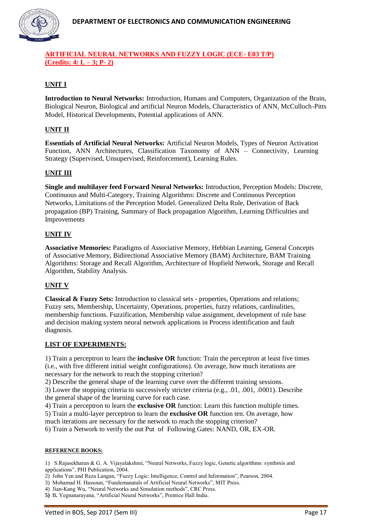

# **ARTIFICIAL NEURAL NETWORKS AND FUZZY LOGIC (ECE- E03 T/P) (Credits: 4: L – 3; P- 2)**

# **UNIT I**

**Introduction to Neural Networks:** Introduction, Humans and Computers, Organization of the Brain, Biological Neuron, Biological and artificial Neuron Models, Characteristics of ANN, McCulloch-Pitts Model, Historical Developments, Potential applications of ANN.

#### **UNIT II**

**Essentials of Artificial Neural Networks:** Artificial Neuron Models, Types of Neuron Activation Function, ANN Architectures, Classification Taxonomy of ANN – Connectivity, Learning Strategy (Supervised, Unsupervised, Reinforcement), Learning Rules.

#### **UNIT III**

**Single and multilayer feed Forward Neural Networks:** Introduction, Perception Models: Discrete, Continuous and Multi-Category, Training Algorithms: Discrete and Continuous Perception Networks, Limitations of the Perception Model. Generalized Delta Rule, Derivation of Back propagation (BP) Training, Summary of Back propagation Algorithm, Learning Difficulties and Improvements

#### **UNIT IV**

**Associative Memories:** Paradigms of Associative Memory, Hebbian Learning, General Concepts of Associative Memory, Bidirectional Associative Memory (BAM) Architecture, BAM Training Algorithms: Storage and Recall Algorithm, Architecture of Hopfield Network, Storage and Recall Algorithm, Stability Analysis.

#### **UNIT V**

**Classical & Fuzzy Sets:** Introduction to classical sets - properties, Operations and relations; Fuzzy sets, Membership, Uncertainty, Operations, properties, fuzzy relations, cardinalities, membership functions. Fuzzification, Membership value assignment, development of rule base and decision making system neural network applications in Process identification and fault diagnosis.

#### **LIST OF EXPERIMENTS:**

1) Train a perceptron to learn the **inclusive OR** function: Train the perceptron at least five times (i.e., with five different initial weight configurations). On average, how much iterations are necessary for the network to reach the stopping criterion?

2) Describe the general shape of the learning curve over the different training sessions.

3) Lower the stopping criteria to successively stricter criteria (e.g., .01, .001, .0001). Describe the general shape of the learning curve for each case.

4) Train a perceptron to learn the **exclusive OR** function: Learn this function multiple times. 5) Train a multi-layer perceptron to learn the **exclusive OR** function ten. On average, how much iterations are necessary for the network to reach the stopping criterion?

6) Train a Network to verify the out Put of Following Gates: NAND, OR, EX-OR.

#### **REFERENCE BOOKS:**

1) S.Rajasekharan & G. A. Vijayalakshmi, "Neural Networks, Fuzzy logic, Genetic algorithms: synthesis and applications", PHI Publication, 2004.

<sup>2)</sup> John Yen and Reza Langan, "Fuzzy Logic: Intelligence, Control and Information", Pearson, 2004.

<sup>3)</sup> Mohamad H. Hassoun, "Fundemanatals of Artificial Neural Networks", MIT Press.

<sup>4)</sup> Jian-Kang Wu, "Neural Networks and Simulation methods", CRC Press.

**<sup>5)</sup>** B*.* Yegnanarayana, "Artificial Neural Networks", Prentice Hall India.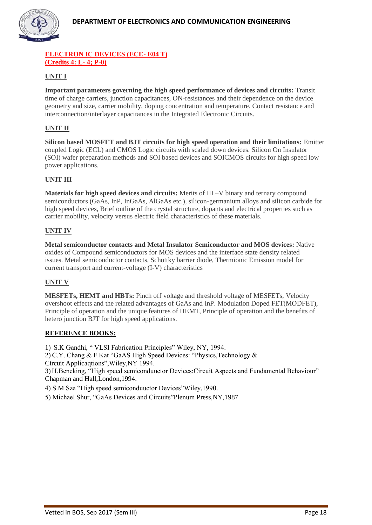

#### **ELECTRON IC DEVICES (ECE- E04 T) (Credits 4: L- 4; P-0)**

# **UNIT I**

**Important parameters governing the high speed performance of devices and circuits:** Transit time of charge carriers, junction capacitances, ON-resistances and their dependence on the device geometry and size, carrier mobility, doping concentration and temperature. Contact resistance and interconnection/interlayer capacitances in the Integrated Electronic Circuits.

#### **UNIT II**

**Silicon based MOSFET and BJT circuits for high speed operation and their limitations:** Emitter coupled Logic (ECL) and CMOS Logic circuits with scaled down devices. Silicon On Insulator (SOI) wafer preparation methods and SOI based devices and SOICMOS circuits for high speed low power applications.

#### **UNIT III**

**Materials for high speed devices and circuits:** Merits of III –V binary and ternary compound semiconductors (GaAs, InP, InGaAs, AlGaAs etc.), silicon-germanium alloys and silicon carbide for high speed devices, Brief outline of the crystal structure, dopants and electrical properties such as carrier mobility, velocity versus electric field characteristics of these materials.

#### **UNIT IV**

**Metal semiconductor contacts and Metal Insulator Semiconductor and MOS devices:** Native oxides of Compound semiconductors for MOS devices and the interface state density related issues. Metal semiconductor contacts, Schottky barrier diode, Thermionic Emission model for current transport and current-voltage (I-V) characteristics

# **UNIT V**

**MESFETs, HEMT and HBTs:** Pinch off voltage and threshold voltage of MESFETs, Velocity overshoot effects and the related advantages of GaAs and InP. Modulation Doped FET(MODFET), Principle of operation and the unique features of HEMT, Principle of operation and the benefits of hetero junction BJT for high speed applications.

#### **REFERENCE BOOKS:**

1) S.K Gandhi, " VLSI Fabrication Principles" Wiley, NY, 1994.

2) C.Y. Chang & F.Kat "GaAS High Speed Devices: "Physics,Technology & Circuit Applicaqtions",Wiley,NY 1994.

3) H.Beneking, "High speed semiconduuctor Devices:Circuit Aspects and Fundamental Behaviour" Chapman and Hall,London,1994.

4) S.M Sze "High speed semiconduuctor Devices"Wiley,1990.

5) Michael Shur, "GaAs Devices and Circuits"Plenum Press,NY,1987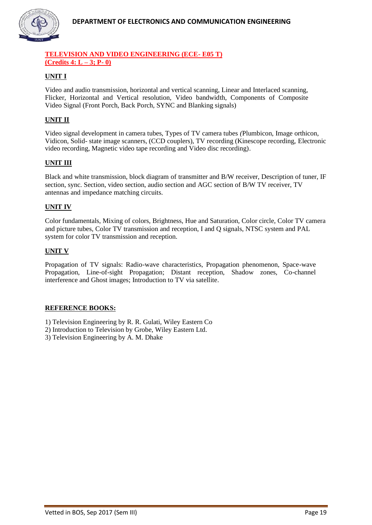

#### **TELEVISION AND VIDEO ENGINEERING (ECE- E05 T) (Credits 4: L – 3; P- 0)**

# **UNIT I**

Video and audio transmission, horizontal and vertical scanning, Linear and Interlaced scanning, Flicker, Horizontal and Vertical resolution, Video bandwidth, Components of Composite Video Signal (Front Porch, Back Porch, SYNC and Blanking signals)

# **UNIT II**

Video signal development in camera tubes, Types of TV camera tubes *(*Plumbicon, Image orthicon, Vidicon, Solid- state image scanners, (CCD couplers), TV recording (Kinescope recording, Electronic video recording, Magnetic video tape recording and Video disc recording).

# **UNIT III**

Black and white transmission, block diagram of transmitter and B/W receiver, Description of tuner, IF section, sync. Section, video section, audio section and AGC section of B/W TV receiver, TV antennas and impedance matching circuits.

#### **UNIT IV**

Color fundamentals, Mixing of colors, Brightness, Hue and Saturation, Color circle, Color TV camera and picture tubes, Color TV transmission and reception, I and Q signals, NTSC system and PAL system for color TV transmission and reception.

#### **UNIT V**

Propagation of TV signals: Radio-wave characteristics, Propagation phenomenon, Space-wave Propagation, Line-of-sight Propagation; Distant reception, Shadow zones, Co-channel interference and Ghost images; Introduction to TV via satellite.

#### **REFERENCE BOOKS:**

- 1) Television Engineering by R. R. Gulati, Wiley Eastern Co
- 2) Introduction to Television by Grobe, Wiley Eastern Ltd.
- 3) Television Engineering by A. M. Dhake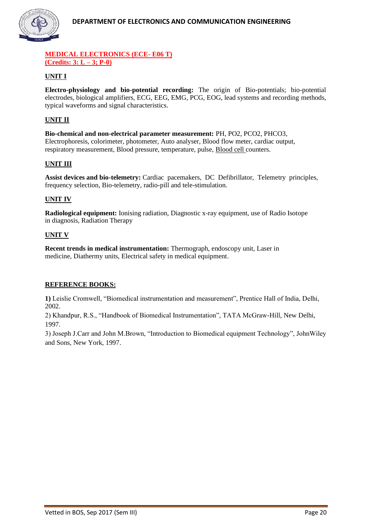

#### **MEDICAL ELECTRONICS (ECE- E06 T) (Credits: 3: L – 3; P-0)**

# **UNIT I**

**Electro-physiology and bio-potential recording:** The origin of Bio-potentials; bio-potential electrodes, biological amplifiers, ECG, EEG, EMG, PCG, EOG, lead systems and recording methods, typical waveforms and signal characteristics.

# **UNIT II**

**Bio-chemical and non-electrical parameter measurement:** PH, PO2, PCO2, PHCO3, Electrophoresis, colorimeter, photometer, Auto analyser, Blood flow meter, cardiac output, respiratory measurement, Blood pressure, temperature, pulse, [Blood cell c](http://www.indiastudychannel.com/resources/35363-EC-MEDICAL-ELECTRONICS-Syllabus-Anna.aspx)ounters.

#### **UNIT III**

**Assist devices and bio-telemetry:** Cardiac pacemakers, DC Defibrillator, Telemetry principles, frequency selection, Bio-telemetry, radio-pill and tele-stimulation.

#### **UNIT IV**

**Radiological equipment:** Ionising radiation, Diagnostic x-ray equipment, use of Radio Isotope in diagnosis, Radiation Therapy

#### **UNIT V**

**Recent trends in medical instrumentation:** Thermograph, endoscopy unit, Laser in medicine, Diathermy units, Electrical safety in medical equipment.

#### **REFERENCE BOOKS:**

**1)** Leislie Cromwell, "Biomedical instrumentation and measurement", Prentice Hall of India, Delhi, 2002.

2) Khandpur, R.S., "Handbook of Biomedical Instrumentation", TATA McGraw-Hill, New Delhi, 1997.

3) Joseph J.Carr and John M.Brown, "Introduction to Biomedical equipment Technology", JohnWiley and Sons, New York, 1997.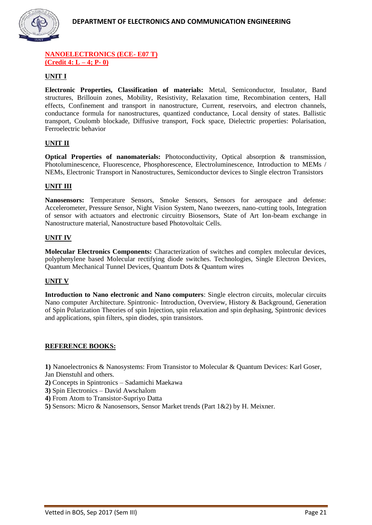

#### **NANOELECTRONICS (ECE- E07 T) (Credit 4: L – 4; P- 0)**

# **UNIT I**

**Electronic Properties, Classification of materials:** Metal, Semiconductor, Insulator, Band structures, Brillouin zones, Mobility, Resistivity, Relaxation time, Recombination centers, Hall effects, Confinement and transport in nanostructure, Current, reservoirs, and electron channels, conductance formula for nanostructures, quantized conductance, Local density of states. Ballistic transport, Coulomb blockade, Diffusive transport, Fock space, Dielectric properties: Polarisation, Ferroelectric behavior

#### **UNIT II**

**Optical Properties of nanomaterials:** Photoconductivity, Optical absorption & transmission, Photoluminescence, Fluorescence, Phosphorescence, Electroluminescence, Introduction to MEMs / NEMs, Electronic Transport in Nanostructures, Semiconductor devices to Single electron Transistors

#### **UNIT III**

**Nanosensors:** Temperature Sensors, Smoke Sensors, Sensors for aerospace and defense: Accelerometer, Pressure Sensor, Night Vision System, Nano tweezers, nano-cutting tools, Integration of sensor with actuators and electronic circuitry Biosensors, State of Art Ion-beam exchange in Nanostructure material, Nanostructure based Photovoltaic Cells.

#### **UNIT IV**

**Molecular Electronics Components:** Characterization of switches and complex molecular devices, polyphenylene based Molecular rectifying diode switches. Technologies, Single Electron Devices, Quantum Mechanical Tunnel Devices, Quantum Dots & Quantum wires

#### **UNIT V**

**Introduction to Nano electronic and Nano computers**: Single electron circuits, molecular circuits Nano computer Architecture. Spintronic- Introduction, Overview, History & Background, Generation of Spin Polarization Theories of spin Injection, spin relaxation and spin dephasing, Spintronic devices and applications, spin filters, spin diodes, spin transistors.

#### **REFERENCE BOOKS:**

**1)** Nanoelectronics & Nanosystems: From Transistor to Molecular & Quantum Devices: Karl Goser, Jan Dienstuhl and others.

- **2)** Concepts in Spintronics Sadamichi Maekawa
- **3)** Spin Electronics David Awschalom
- **4)** From Atom to Transistor-Supriyo Datta
- **5)** Sensors: Micro & Nanosensors, Sensor Market trends (Part 1&2) by H. Meixner.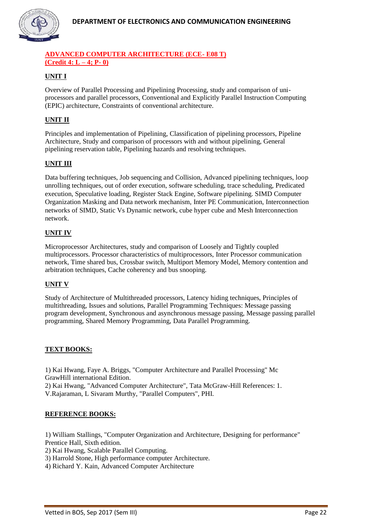

#### **ADVANCED COMPUTER ARCHITECTURE (ECE- E08 T) (Credit 4: L – 4; P- 0)**

# **UNIT I**

Overview of Parallel Processing and Pipelining Processing, study and comparison of uniprocessors and parallel processors, Conventional and Explicitly Parallel Instruction Computing (EPIC) architecture, Constraints of conventional architecture.

# **UNIT II**

Principles and implementation of Pipelining, Classification of pipelining processors, Pipeline Architecture, Study and comparison of processors with and without pipelining, General pipelining reservation table, Pipelining hazards and resolving techniques.

# **UNIT III**

Data buffering techniques, Job sequencing and Collision, Advanced pipelining techniques, loop unrolling techniques, out of order execution, software scheduling, trace scheduling, Predicated execution, Speculative loading, Register Stack Engine, Software pipelining. SIMD Computer Organization Masking and Data network mechanism, Inter PE Communication, Interconnection networks of SIMD, Static Vs Dynamic network, cube hyper cube and Mesh Interconnection network.

#### **UNIT IV**

Microprocessor Architectures, study and comparison of Loosely and Tightly coupled multiprocessors. Processor characteristics of multiprocessors, Inter Processor communication network, Time shared bus, Crossbar switch, Multiport Memory Model, Memory contention and arbitration techniques, Cache coherency and bus snooping.

#### **UNIT V**

Study of Architecture of Multithreaded processors, Latency hiding techniques, Principles of multithreading, Issues and solutions, Parallel Programming Techniques: Message passing program development, Synchronous and asynchronous message passing, Message passing parallel programming, Shared Memory Programming, Data Parallel Programming.

#### **TEXT BOOKS:**

1) Kai Hwang, Faye A. Briggs, "Computer Architecture and Parallel Processing" Mc GrawHill international Edition.

2) Kai Hwang, "Advanced Computer Architecture", Tata McGraw-Hill References: 1. V.Rajaraman, L Sivaram Murthy, "Parallel Computers", PHI.

#### **REFERENCE BOOKS:**

1) William Stallings, "Computer Organization and Architecture, Designing for performance" Prentice Hall, Sixth edition.

2) Kai Hwang, Scalable Parallel Computing.

- 3) Harrold Stone, High performance computer Architecture.
- 4) Richard Y. Kain, Advanced Computer Architecture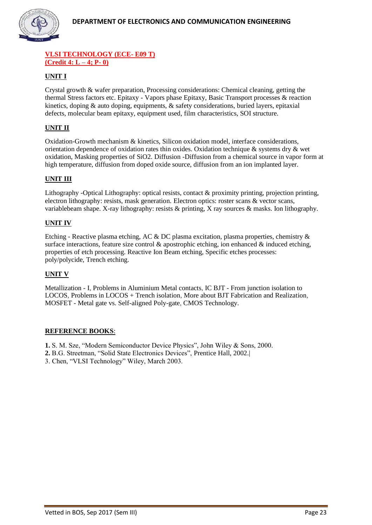

#### **VLSI TECHNOLOGY (ECE- E09 T) (Credit 4: L – 4; P- 0)**

# **UNIT I**

Crystal growth & wafer preparation, Processing considerations: Chemical cleaning, getting the thermal Stress factors etc. Epitaxy - Vapors phase Epitaxy, Basic Transport processes & reaction kinetics, doping & auto doping, equipments, & safety considerations, buried layers, epitaxial defects, molecular beam epitaxy, equipment used, film characteristics, SOI structure.

# **UNIT II**

Oxidation-Growth mechanism & kinetics, Silicon oxidation model, interface considerations, orientation dependence of oxidation rates thin oxides. Oxidation technique  $\&$  systems dry  $\&$  wet oxidation, Masking properties of SiO2. Diffusion -Diffusion from a chemical source in vapor form at high temperature, diffusion from doped oxide source, diffusion from an ion implanted layer.

#### **UNIT III**

Lithography -Optical Lithography: optical resists, contact & proximity printing, projection printing, electron lithography: resists, mask generation. Electron optics: roster scans & vector scans, variablebeam shape. X-ray lithography: resists & printing, X ray sources & masks. Ion lithography.

#### **UNIT IV**

Etching - Reactive plasma etching, AC & DC plasma excitation, plasma properties, chemistry & surface interactions, feature size control  $\&$  apostrophic etching, ion enhanced  $\&$  induced etching, properties of etch processing. Reactive Ion Beam etching, Specific etches processes: poly/polycide, Trench etching.

#### **UNIT V**

Metallization - I, [Problems in Aluminium Metal contacts,](http://nptel.ac.in/courses/117106093/) IC BJT - From junction isolation to LOCOS, Problems in LOCOS + Trench isolation, [More about BJT Fabrication and Realization,](http://nptel.ac.in/courses/117106093/)  MOSFET - [Metal gate vs. Self-aligned Poly-gate,](http://nptel.ac.in/courses/117106093/) CMOS Technology.

#### **REFERENCE BOOKS**:

**1.** S. M. Sze, "Modern Semiconductor Device Physics", John Wiley & Sons, 2000.

**2.** B.G. Streetman, "Solid State Electronics Devices", Prentice Hall, 2002.|

3. Chen, "VLSI Technology" Wiley, March 2003.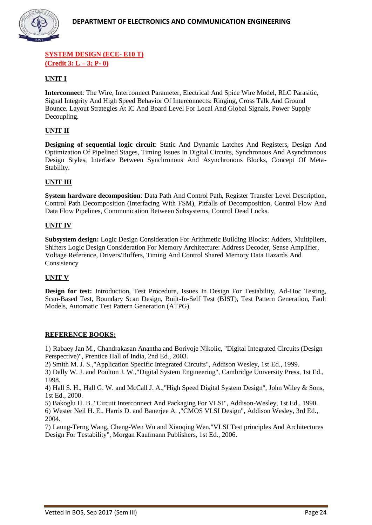

#### **SYSTEM DESIGN (ECE- E10 T) (Credit 3: L – 3; P- 0)**

#### **UNIT I**

**Interconnect**: The Wire, Interconnect Parameter, Electrical And Spice Wire Model, RLC Parasitic, Signal Integrity And High Speed Behavior Of Interconnects: Ringing, Cross Talk And Ground Bounce. Layout Strategies At IC And Board Level For Local And Global Signals, Power Supply Decoupling.

#### **UNIT II**

**Designing of sequential logic circuit**: Static And Dynamic Latches And Registers, Design And Optimization Of Pipelined Stages, Timing Issues In Digital Circuits, Synchronous And Asynchronous Design Styles, Interface Between Synchronous And Asynchronous Blocks, Concept Of Meta-Stability.

#### **UNIT III**

**System hardware decomposition**: Data Path And Control Path, Register Transfer Level Description, Control Path Decomposition (Interfacing With FSM), Pitfalls of Decomposition, Control Flow And Data Flow Pipelines, Communication Between Subsystems, Control Dead Locks.

#### **UNIT IV**

**Subsystem design:** Logic Design Consideration For Arithmetic Building Blocks: Adders, Multipliers, Shifters Logic Design Consideration For Memory Architecture: Address Decoder, Sense Amplifier, Voltage Reference, Drivers/Buffers, Timing And Control Shared Memory Data Hazards And Consistency

#### **UNIT V**

**Design for test:** Introduction, Test Procedure, Issues In Design For Testability, Ad-Hoc Testing, Scan-Based Test, Boundary Scan Design, Built-In-Self Test (BIST), Test Pattern Generation, Fault Models, Automatic Test Pattern Generation (ATPG).

#### **REFERENCE BOOKS:**

1) Rabaey Jan M., Chandrakasan Anantha and Borivoje Nikolic, "Digital Integrated Circuits (Design Perspective)", Prentice Hall of India, 2nd Ed., 2003.

2) Smith M. J. S.,"Application Specific Integrated Circuits", Addison Wesley, 1st Ed., 1999.

3) Dally W. J. and Poulton J. W.,"Digital System Engineering", Cambridge University Press, 1st Ed., 1998.

4) Hall S. H., Hall G. W. and McCall J. A.,"High Speed Digital System Design", John Wiley & Sons, 1st Ed., 2000.

5) Bakoglu H. B.,"Circuit Interconnect And Packaging For VLSI", Addison-Wesley, 1st Ed., 1990. 6) Wester Neil H. E., Harris D. and Banerjee A. ,"CMOS VLSI Design", Addison Wesley, 3rd Ed., 2004.

7) Laung-Terng Wang, Cheng-Wen Wu and Xiaoqing Wen,"VLSI Test principles And Architectures Design For Testability", Morgan Kaufmann Publishers, 1st Ed., 2006.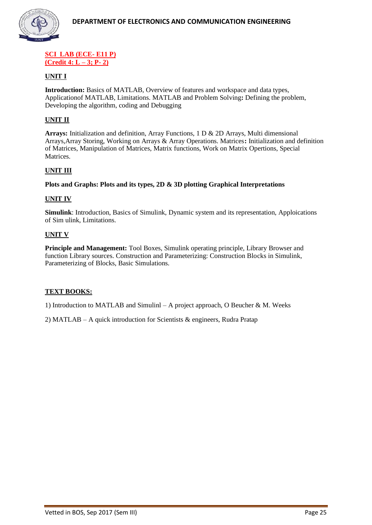

#### **SCI LAB (ECE- E11 P) (Credit 4: L – 3; P- 2)**

#### **UNIT I**

**Introduction:** Basics of MATLAB, Overview of features and workspace and data types, Applicationof MATLAB, Limitations. MATLAB and Problem Solving**:** Defining the problem, Developing the algorithm, coding and Debugging

#### **UNIT II**

**Arrays:** Initialization and definition, Array Functions, 1 D & 2D Arrays, Multi dimensional Arrays,Array Storing, Working on Arrays & Array Operations. Matrices**:** Initialization and definition of Matrices, Manipulation of Matrices, Matrix functions, Work on Matrix Opertions, Special Matrices.

#### **UNIT III**

**Plots and Graphs: Plots and its types, 2D & 3D plotting Graphical Interpretations**

#### **UNIT IV**

**Simulink**: Introduction, Basics of Simulink, Dynamic system and its representation, Apploications of Sim ulink, Limitations.

#### **UNIT V**

**Principle and Management:** Tool Boxes, Simulink operating principle, Library Browser and function Library sources. Construction and Parameterizing: Construction Blocks in Simulink, Parameterizing of Blocks, Basic Simulations.

#### **TEXT BOOKS:**

1) Introduction to MATLAB and Simulinl – A project approach, O Beucher & M. Weeks

2) MATLAB – A quick introduction for Scientists & engineers, Rudra Pratap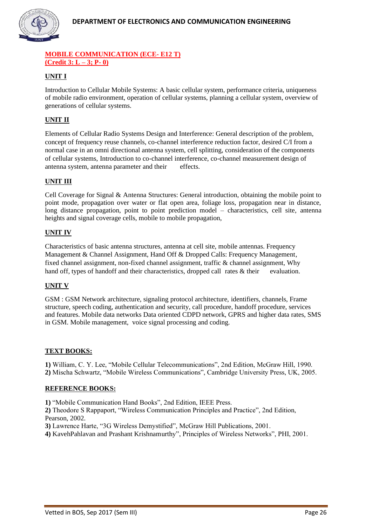

#### **MOBILE COMMUNICATION (ECE- E12 T) (Credit 3: L – 3; P- 0)**

# **UNIT I**

Introduction to Cellular Mobile Systems: A basic cellular system, performance criteria, uniqueness of mobile radio environment, operation of cellular systems, planning a cellular system, overview of generations of cellular systems.

# **UNIT II**

Elements of Cellular Radio Systems Design and Interference: General description of the problem, concept of frequency reuse channels, co-channel interference reduction factor, desired C/I from a normal case in an omni directional antenna system, cell splitting, consideration of the components of cellular systems, Introduction to co-channel interference, co-channel measurement design of antenna system, antenna parameter and their effects.

#### **UNIT III**

Cell Coverage for Signal & Antenna Structures: General introduction, obtaining the mobile point to point mode, propagation over water or flat open area, foliage loss, propagation near in distance, long distance propagation, point to point prediction model – characteristics, cell site, antenna heights and signal coverage cells, mobile to mobile propagation,

#### **UNIT IV**

Characteristics of basic antenna structures, antenna at cell site, mobile antennas. Frequency Management & Channel Assignment, Hand Off & Dropped Calls: Frequency Management, fixed channel assignment, non-fixed channel assignment, traffic & channel assignment, Why hand off, types of handoff and their characteristics, dropped call rates  $\&$  their evaluation.

#### **UNIT V**

GSM : GSM Network architecture, signaling protocol architecture, identifiers, channels, Frame structure, speech coding, authentication and security, call procedure, handoff procedure, services and features. Mobile data networks Data oriented CDPD network, GPRS and higher data rates, SMS in GSM. Mobile management, voice signal processing and coding.

#### **TEXT BOOKS:**

**1)** William, C. Y. Lee, "Mobile Cellular Telecommunications", 2nd Edition, McGraw Hill, 1990. **2)** Mischa Schwartz, "Mobile Wireless Communications", Cambridge University Press, UK, 2005.

#### **REFERENCE BOOKS:**

**1)** "Mobile Communication Hand Books", 2nd Edition, IEEE Press.

**2)** Theodore S Rappaport, "Wireless Communication Principles and Practice", 2nd Edition, Pearson, 2002.

**3)** Lawrence Harte, "3G Wireless Demystified", McGraw Hill Publications, 2001.

**4)** KavehPahlavan and Prashant Krishnamurthy", Principles of Wireless Networks", PHI, 2001.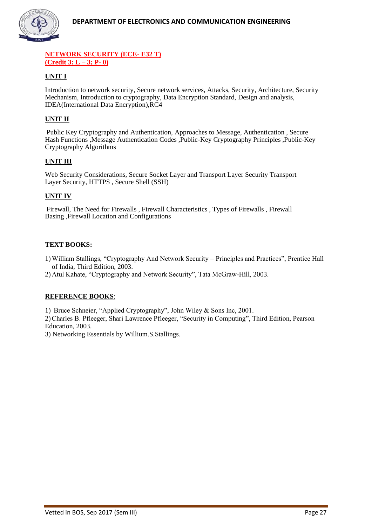

#### **NETWORK SECURITY (ECE- E32 T) (Credit 3: L – 3; P- 0)**

# **UNIT I**

Introduction to network security, Secure network services, Attacks, Security, Architecture, Security Mechanism, Introduction to cryptography, Data Encryption Standard, Design and analysis, IDEA(International Data Encryption),RC4

# **UNIT II**

Public Key Cryptography and Authentication, Approaches to Message, Authentication , Secure Hash Functions ,Message Authentication Codes ,Public-Key Cryptography Principles ,Public-Key Cryptography Algorithms

# **UNIT III**

Web Security Considerations, Secure Socket Layer and Transport Layer Security Transport Layer Security, HTTPS , Secure Shell (SSH)

#### **UNIT IV**

Firewall, The Need for Firewalls , Firewall Characteristics , Types of Firewalls , Firewall Basing ,Firewall Location and Configurations

#### **TEXT BOOKS:**

- 1) William Stallings, "Cryptography And Network Security Principles and Practices", Prentice Hall of India, Third Edition, 2003.
- 2) Atul Kahate, "Cryptography and Network Security", Tata McGraw-Hill, 2003.

#### **REFERENCE BOOKS**:

1) Bruce Schneier, "Applied Cryptography", John Wiley & Sons Inc, 2001.

2)Charles B. Pfleeger, Shari Lawrence Pfleeger, "Security in Computing", Third Edition, Pearson Education, 2003.

3) Networking Essentials by Willium.S.Stallings.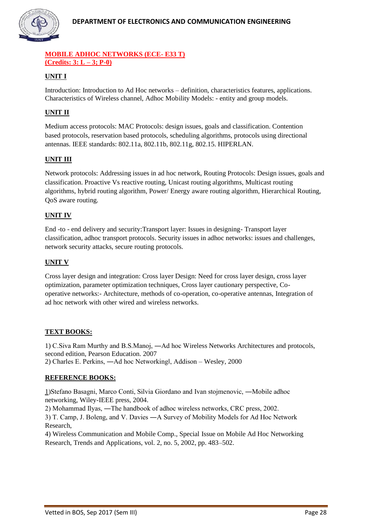

#### **MOBILE ADHOC NETWORKS (ECE- E33 T) (Credits: 3: L – 3; P-0)**

# **UNIT I**

Introduction: Introduction to Ad Hoc networks – definition, characteristics features, applications. Characteristics of Wireless channel, Adhoc Mobility Models: - entity and group models.

# **UNIT II**

Medium access protocols: MAC Protocols: design issues, goals and classification. Contention based protocols, reservation based protocols, scheduling algorithms, protocols using directional antennas. IEEE standards: 802.11a, 802.11b, 802.11g, 802.15. HIPERLAN.

#### **UNIT III**

Network protocols: Addressing issues in ad hoc network, Routing Protocols: Design issues, goals and classification. Proactive Vs reactive routing, Unicast routing algorithms, Multicast routing algorithms, hybrid routing algorithm, Power/ Energy aware routing algorithm, Hierarchical Routing, QoS aware routing.

#### **UNIT IV**

End -to - end delivery and security:Transport layer: Issues in designing- Transport layer classification, adhoc transport protocols. Security issues in adhoc networks: issues and challenges, network security attacks, secure routing protocols.

#### **UNIT V**

Cross layer design and integration: Cross layer Design: Need for cross layer design, cross layer optimization, parameter optimization techniques, Cross layer cautionary perspective, Cooperative networks:- Architecture, methods of co-operation, co-operative antennas, Integration of ad hoc network with other wired and wireless networks.

#### **TEXT BOOKS:**

1) C.Siva Ram Murthy and B.S.Manoj, ―Ad hoc Wireless Networks Architectures and protocols, second edition, Pearson Education. 2007 2) Charles E. Perkins, ―Ad hoc Networking‖, Addison – Wesley, 2000

#### **REFERENCE BOOKS:**

1)Stefano Basagni, Marco Conti, Silvia Giordano and Ivan stojmenovic, ―Mobile adhoc networking, Wiley-IEEE press, 2004.

2) Mohammad Ilyas, ―The handbook of adhoc wireless networks, CRC press, 2002.

3) T. Camp, J. Boleng, and V. Davies ―A Survey of Mobility Models for Ad Hoc Network Research,

4) Wireless Communication and Mobile Comp., Special Issue on Mobile Ad Hoc Networking Research, Trends and Applications, vol. 2, no. 5, 2002, pp. 483–502.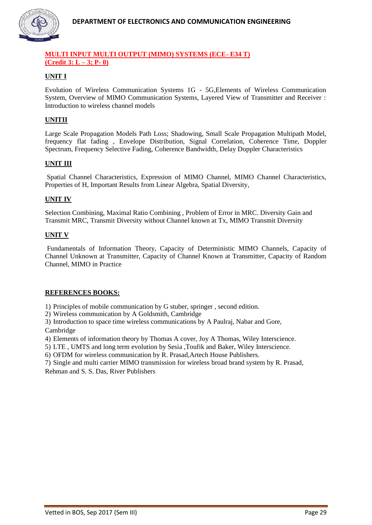

#### **MULTI INPUT MULTI OUTPUT (MIMO) SYSTEMS (ECE- E34 T) (Credit 3: L – 3; P- 0)**

# **UNIT I**

Evolution of Wireless Communication Systems 1G - 5G,Elements of Wireless Communication System, Overview of MIMO Communication Systems, Layered View of Transmitter and Receiver : Introduction to wireless channel models

# **UNITII**

Large Scale Propagation Models Path Loss; Shadowing, Small Scale Propagation Multipath Model, frequency flat fading , Envelope Distribution, Signal Correlation, Coherence Time, Doppler Spectrum, Frequency Selective Fading, Coherence Bandwidth, Delay Doppler Characteristics

#### **UNIT III**

Spatial Channel Characteristics, Expression of MIMO Channel, MIMO Channel Characteristics, Properties of H, Important Results from Linear Algebra, Spatial Diversity,

#### **UNIT IV**

Selection Combining, Maximal Ratio Combining , Problem of Error in MRC. Diversity Gain and Transmit MRC, Transmit Diversity without Channel known at Tx, MIMO Transmit Diversity

#### **UNIT V**

Fundamentals of Information Theory, Capacity of Deterministic MIMO Channels, Capacity of Channel Unknown at Transmitter, Capacity of Channel Known at Transmitter, Capacity of Random Channel, MIMO in Practice

#### **REFERENCES BOOKS:**

1) Principles of mobile communication by G stuber, springer , second edition.

2) Wireless communication by A Goldsmith, Cambridge

3) Introduction to space time wireless communications by A Paulraj, Nabar and Gore, Cambridge

4) Elements of information theory by Thomas A cover, Joy A Thomas, Wiley Interscience.

5) LTE , UMTS and long term evolution by Sesia ,Toufik and Baker, Wiley Interscience.

6) OFDM for wireless communication by R. Prasad,Artech House Publishers.

7) Single and multi carrier MIMO transmission for wireless broad brand system by R. Prasad, Rehman and S. S. Das, River Publishers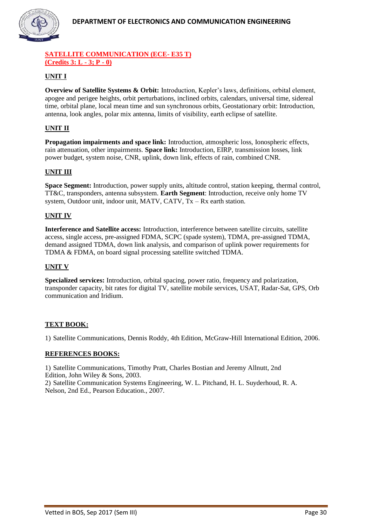

#### **SATELLITE COMMUNICATION (ECE- E35 T) (Credits 3: L - 3; P - 0)**

# **UNIT I**

**Overview of Satellite Systems & Orbit:** Introduction, Kepler's laws, definitions, orbital element, apogee and perigee heights, orbit perturbations, inclined orbits, calendars, universal time, sidereal time, orbital plane, local mean time and sun synchronous orbits, Geostationary orbit: Introduction, antenna, look angles, polar mix antenna, limits of visibility, earth eclipse of satellite.

# **UNIT II**

**Propagation impairments and space link:** Introduction, atmospheric loss, Ionospheric effects, rain attenuation, other impairments. **Space link:** Introduction, EIRP, transmission losses, link power budget, system noise, CNR, uplink, down link, effects of rain, combined CNR.

#### **UNIT III**

**Space Segment:** Introduction, power supply units, altitude control, station keeping, thermal control, TT&C, transponders, antenna subsystem. **Earth Segment**: Introduction, receive only home TV system, Outdoor unit, indoor unit, MATV, CATV, Tx – Rx earth station.

#### **UNIT IV**

**Interference and Satellite access:** Introduction, interference between satellite circuits, satellite access, single access, pre-assigned FDMA, SCPC (spade system), TDMA, pre-assigned TDMA, demand assigned TDMA, down link analysis, and comparison of uplink power requirements for TDMA & FDMA, on board signal processing satellite switched TDMA.

#### **UNIT V**

**Specialized services:** Introduction, orbital spacing, power ratio, frequency and polarization, transponder capacity, bit rates for digital TV, satellite mobile services, USAT, Radar-Sat, GPS, Orb communication and Iridium.

#### **TEXT BOOK:**

1) Satellite Communications, Dennis Roddy, 4th Edition, McGraw-Hill International Edition, 2006.

#### **REFERENCES BOOKS:**

1) Satellite Communications, Timothy Pratt, Charles Bostian and Jeremy Allnutt, 2nd Edition, John Wiley & Sons, 2003.

2) Satellite Communication Systems Engineering, W. L. Pitchand, H. L. Suyderhoud, R. A. Nelson, 2nd Ed., Pearson Education., 2007.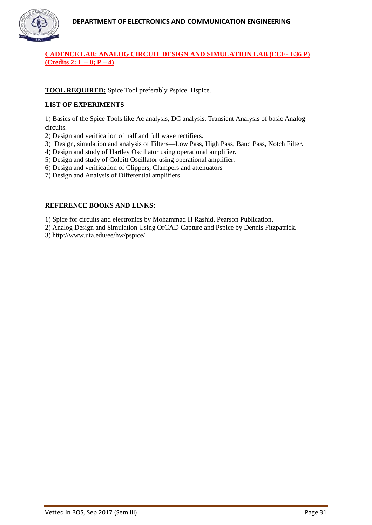

# **CADENCE LAB: ANALOG CIRCUIT DESIGN AND SIMULATION LAB (ECE- E36 P) (Credits 2: L – 0; P – 4)**

#### **TOOL REQUIRED:** Spice Tool preferably Pspice, Hspice.

#### **LIST OF EXPERIMENTS**

1) Basics of the Spice Tools like Ac analysis, DC analysis, Transient Analysis of basic Analog circuits.

2) Design and verification of half and full wave rectifiers.

3) Design, simulation and analysis of Filters—Low Pass, High Pass, Band Pass, Notch Filter.

4) Design and study of Hartley Oscillator using operational amplifier.

5) Design and study of Colpitt Oscillator using operational amplifier.

6) Design and verification of Clippers, Clampers and attenuators

7) Design and Analysis of Differential amplifiers.

#### **REFERENCE BOOKS AND LINKS:**

1) Spice for circuits and electronics by Mohammad H Rashid, Pearson Publication.

2) Analog Design and Simulation Using OrCAD Capture and Pspice by Dennis Fitzpatrick.

3) http://www.uta.edu/ee/hw/pspice/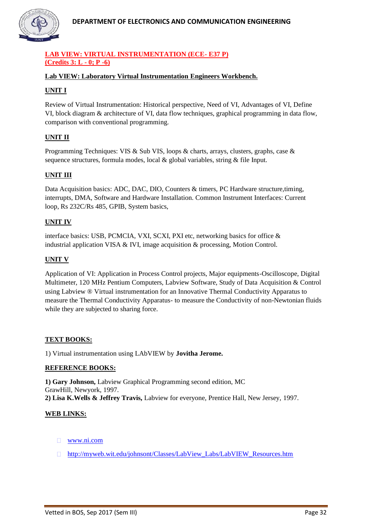

# **LAB VIEW: VIRTUAL INSTRUMENTATION (ECE- E37 P) (Credits 3: L - 0; P -6)**

#### **Lab VIEW: Laboratory Virtual Instrumentation Engineers Workbench.**

#### **UNIT I**

Review of Virtual Instrumentation: Historical perspective, Need of VI, Advantages of VI, Define VI, block diagram & architecture of VI, data flow techniques, graphical programming in data flow, comparison with conventional programming.

#### **UNIT II**

Programming Techniques: VIS & Sub VIS, loops & charts, arrays, clusters, graphs, case & sequence structures, formula modes, local & global variables, string & file Input.

#### **UNIT III**

Data Acquisition basics: ADC, DAC, DIO, Counters & timers, PC Hardware structure,timing, interrupts, DMA, Software and Hardware Installation. Common Instrument Interfaces: Current loop, Rs 232C/Rs 485, GPIB, System basics,

#### **UNIT IV**

interface basics: USB, PCMCIA, VXI, SCXI, PXI etc, networking basics for office & industrial application VISA & IVI, image acquisition & processing, Motion Control.

#### **UNIT V**

Application of VI: Application in Process Control projects, Major equipments-Oscilloscope, Digital Multimeter, 120 MHz Pentium Computers, Labview Software, Study of Data Acquisition & Control using Labview ® Virtual instrumentation for an Innovative Thermal Conductivity Apparatus to measure the Thermal Conductivity Apparatus- to measure the Conductivity of non-Newtonian fluids while they are subjected to sharing force.

#### **TEXT BOOKS:**

1) Virtual instrumentation using LAbVIEW by **Jovitha Jerome.**

#### **REFERENCE BOOKS:**

**1) Gary Johnson,** Labview Graphical Programming second edition, MC GrawHill, Newyork, 1997. **2) Lisa K.Wells & Jeffrey Travis,** Labview for everyone, Prentice Hall, New Jersey, 1997.

#### **WEB LINKS:**

- [www.ni.com](http://www.ni.com/)
- [http://myweb.wit.edu/johnsont/Classes/LabView\\_Labs/LabVIEW\\_Resources.htm](http://myweb.wit.edu/johnsont/Classes/LabView_Labs/LabVIEW_Resources.htm)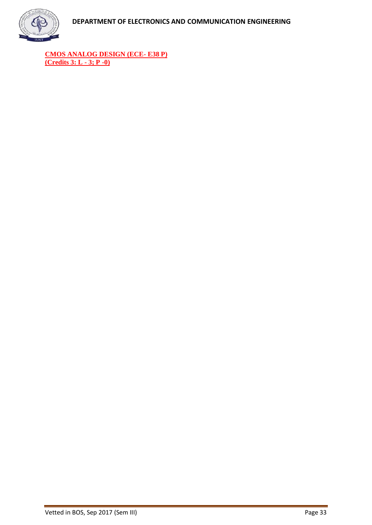

**CMOS ANALOG DESIGN (ECE- E38 P) (Credits 3: L - 3; P -0)**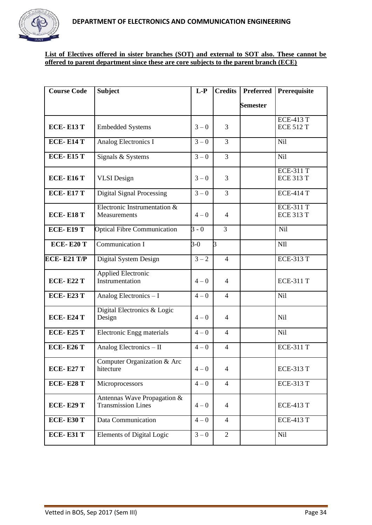

#### **List of Electives offered in sister branches (SOT) and external to SOT also. These cannot be offered to parent department since these are core subjects to the parent branch (ECE)**

| <b>Course Code</b> | <b>Subject</b>                                           | $L-P$              | <b>Credits</b> | <b>Preferred</b> | Prerequisite                         |
|--------------------|----------------------------------------------------------|--------------------|----------------|------------------|--------------------------------------|
|                    |                                                          |                    |                | <b>Semester</b>  |                                      |
| <b>ECE-E13 T</b>   | <b>Embedded Systems</b>                                  | $3 - 0$            | 3              |                  | <b>ECE-413 T</b><br><b>ECE 512 T</b> |
| <b>ECE-E14 T</b>   | Analog Electronics I                                     | $3 - 0$            | 3              |                  | Nil                                  |
| <b>ECE-E15 T</b>   | Signals & Systems                                        | $3 - 0$            | $\overline{3}$ |                  | <b>Nil</b>                           |
| <b>ECE-E16 T</b>   | <b>VLSI</b> Design                                       | $3 - 0$            | 3              |                  | <b>ECE-311 T</b><br><b>ECE 313 T</b> |
| <b>ECE-E17 T</b>   | <b>Digital Signal Processing</b>                         | $3 - 0$            | 3              |                  | <b>ECE-414 T</b>                     |
| <b>ECE-E18 T</b>   | Electronic Instrumentation &<br>Measurements             | $4 - 0$            | $\overline{4}$ |                  | <b>ECE-311 T</b><br><b>ECE 313 T</b> |
| <b>ECE-E19 T</b>   | <b>Optical Fibre Communication</b>                       | $\overline{3}$ - 0 | $\overline{3}$ |                  | Nil                                  |
| <b>ECE-E20 T</b>   | Communication I                                          | $3-0$              | $\overline{3}$ |                  | NII                                  |
| <b>ECE-E21 T/P</b> | Digital System Design                                    | $3 - 2$            | $\overline{4}$ |                  | <b>ECE-313 T</b>                     |
| <b>ECE-E22 T</b>   | <b>Applied Electronic</b><br>Instrumentation             | $4 - 0$            | 4              |                  | <b>ECE-311 T</b>                     |
| <b>ECE-E23 T</b>   | Analog Electronics - I                                   | $4 - 0$            | $\overline{4}$ |                  | Nil                                  |
| <b>ECE-E24 T</b>   | Digital Electronics & Logic<br>Design                    | $4 - 0$            | $\overline{4}$ |                  | <b>Nil</b>                           |
| <b>ECE-E25 T</b>   | Electronic Engg materials                                | $4 - 0$            | $\overline{4}$ |                  | <b>Nil</b>                           |
| <b>ECE-E26 T</b>   | Analog Electronics - II                                  | $4 - 0$            | $\overline{4}$ |                  | <b>ECE-311 T</b>                     |
| <b>ECE-E27 T</b>   | Computer Organization & Arc<br>hitecture                 | $4 - 0$            | 4              |                  | <b>ECE-313 T</b>                     |
| <b>ECE-E28 T</b>   | Microprocessors                                          | $4 - 0$            | $\overline{4}$ |                  | <b>ECE-313 T</b>                     |
| <b>ECE-E29 T</b>   | Antennas Wave Propagation &<br><b>Transmission Lines</b> | $4 - 0$            | $\overline{4}$ |                  | <b>ECE-413 T</b>                     |
| <b>ECE-E30 T</b>   | Data Communication                                       | $4 - 0$            | 4              |                  | <b>ECE-413 T</b>                     |
| <b>ECE-E31 T</b>   | Elements of Digital Logic                                | $3 - 0$            | $\overline{2}$ |                  | <b>Nil</b>                           |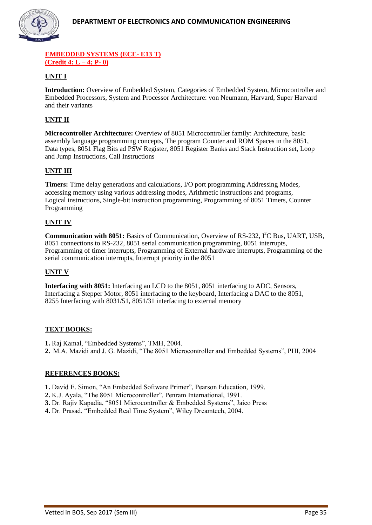

#### **EMBEDDED SYSTEMS (ECE- E13 T) (Credit 4: L – 4; P- 0)**

# **UNIT I**

**Introduction:** Overview of Embedded System, Categories of Embedded System, Microcontroller and Embedded Processors, System and Processor Architecture: von Neumann, Harvard, Super Harvard and their variants

# **UNIT II**

**Microcontroller Architecture:** Overview of 8051 Microcontroller family: Architecture, basic assembly language programming concepts, The program Counter and ROM Spaces in the 8051, Data types, 8051 Flag Bits ad PSW Register, 8051 Register Banks and Stack Instruction set, Loop and Jump Instructions, Call Instructions

#### **UNIT III**

**Timers:** Time delay generations and calculations, I/O port programming Addressing Modes, accessing memory using various addressing modes, Arithmetic instructions and programs, Logical instructions, Single-bit instruction programming, Programming of 8051 Timers, Counter Programming

#### **UNIT IV**

**Communication with 8051:** Basics of Communication, Overview of RS-232, I<sup>2</sup>C Bus, UART, USB, 8051 connections to RS-232, 8051 serial communication programming, 8051 interrupts, Programming of timer interrupts, Programming of External hardware interrupts, Programming of the serial communication interrupts, Interrupt priority in the 8051

#### **UNIT V**

**Interfacing with 8051:** Interfacing an LCD to the 8051, 8051 interfacing to ADC, Sensors, Interfacing a Stepper Motor, 8051 interfacing to the keyboard, Interfacing a DAC to the 8051, 8255 Interfacing with 8031/51, 8051/31 interfacing to external memory

#### **TEXT BOOKS:**

**1.** Raj Kamal, "Embedded Systems", TMH, 2004.

**2.** M.A. Mazidi and J. G. Mazidi, "The 8051 Microcontroller and Embedded Systems", PHI, 2004

#### **REFERENCES BOOKS:**

- **1.** David E. Simon, "An Embedded Software Primer", Pearson Education, 1999.
- **2.** K.J. Ayala, "The 8051 Microcontroller", Penram International, 1991.
- **3.** Dr. Rajiv Kapadia, "8051 Microcontroller & Embedded Systems", Jaico Press
- **4.** Dr. Prasad, "Embedded Real Time System", Wiley Dreamtech, 2004.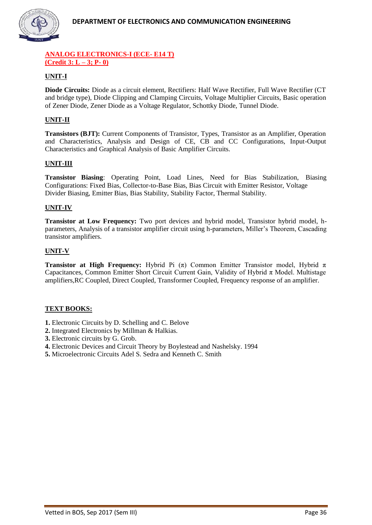

#### **ANALOG ELECTRONICS-I (ECE- E14 T) (Credit 3: L – 3; P- 0)**

# **UNIT-I**

**Diode Circuits:** Diode as a circuit element, Rectifiers: Half Wave Rectifier, Full Wave Rectifier (CT and bridge type), Diode Clipping and Clamping Circuits, Voltage Multiplier Circuits, Basic operation of Zener Diode, Zener Diode as a Voltage Regulator, Schottky Diode, Tunnel Diode.

# **UNIT-II**

**Transistors (BJT):** Current Components of Transistor, Types, Transistor as an Amplifier, Operation and Characteristics, Analysis and Design of CE, CB and CC Configurations, Input-Output Characteristics and Graphical Analysis of Basic Amplifier Circuits.

#### **UNIT-III**

**Transistor Biasing**: Operating Point, Load Lines, Need for Bias Stabilization, Biasing Configurations: Fixed Bias, Collector-to-Base Bias, Bias Circuit with Emitter Resistor, Voltage Divider Biasing, Emitter Bias, Bias Stability, Stability Factor, Thermal Stability.

#### **UNIT-IV**

**Transistor at Low Frequency:** Two port devices and hybrid model, Transistor hybrid model, hparameters, Analysis of a transistor amplifier circuit using h-parameters, Miller's Theorem, Cascading transistor amplifiers.

#### **UNIT-V**

**Transistor at High Frequency:** Hybrid Pi ( $\pi$ ) Common Emitter Transistor model, Hybrid  $\pi$ Capacitances, Common Emitter Short Circuit Current Gain, Validity of Hybrid  $\pi$  Model. Multistage amplifiers,RC Coupled, Direct Coupled, Transformer Coupled, Frequency response of an amplifier.

# **TEXT BOOKS:**

- **1.** Electronic Circuits by D. Schelling and C. Belove
- **2.** Integrated Electronics by Millman & Halkias.
- **3.** Electronic circuits by G. Grob.
- **4.** Electronic Devices and Circuit Theory by Boylestead and Nashelsky. 1994
- **5.** Microelectronic Circuits Adel S. Sedra and Kenneth C. Smith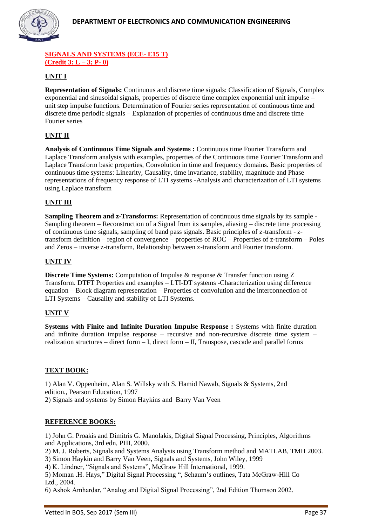

#### **SIGNALS AND SYSTEMS (ECE- E15 T) (Credit 3: L – 3; P- 0)**

# **UNIT I**

**Representation of Signals:** Continuous and discrete time signals: Classification of Signals, Complex exponential and sinusoidal signals, properties of discrete time complex exponential unit impulse – unit step impulse functions. Determination of Fourier series representation of continuous time and discrete time periodic signals – Explanation of properties of continuous time and discrete time Fourier series

# **UNIT II**

**Analysis of Continuous Time Signals and Systems :** Continuous time Fourier Transform and Laplace Transform analysis with examples, properties of the Continuous time Fourier Transform and Laplace Transform basic properties, Convolution in time and frequency domains. Basic properties of continuous time systems: Linearity, Causality, time invariance, stability, magnitude and Phase representations of frequency response of LTI systems -Analysis and characterization of LTI systems using Laplace transform

#### **UNIT III**

**Sampling Theorem and z-Transforms:** Representation of continuous time signals by its sample -Sampling theorem – Reconstruction of a Signal from its samples, aliasing – discrete time processing of continuous time signals, sampling of band pass signals. Basic principles of z-transform - ztransform definition – region of convergence – properties of ROC – Properties of z-transform – Poles and Zeros – inverse z-transform, Relationship between z-transform and Fourier transform.

#### **UNIT IV**

**Discrete Time Systems:** Computation of Impulse & response & Transfer function using Z Transform. DTFT Properties and examples – LTI-DT systems -Characterization using difference equation – Block diagram representation – Properties of convolution and the interconnection of LTI Systems – Causality and stability of LTI Systems.

#### **UNIT V**

**Systems with Finite and Infinite Duration Impulse Response :** Systems with finite duration and infinite duration impulse response – recursive and non-recursive discrete time system – realization structures – direct form – I, direct form – II, Transpose, cascade and parallel forms

#### **TEXT BOOK:**

1) Alan V. Oppenheim, Alan S. Willsky with S. Hamid Nawab, Signals & Systems, 2nd edition., Pearson Education, 1997 2) Signals and systems by Simon Haykins and Barry Van Veen

#### **REFERENCE BOOKS:**

1) John G. Proakis and Dimitris G. Manolakis, Digital Signal Processing, Principles, Algorithms and Applications, 3rd edn, PHI, 2000.

2) M. J. Roberts, Signals and Systems Analysis using Transform method and MATLAB, TMH 2003.

3) Simon Haykin and Barry Van Veen, Signals and Systems, John Wiley, 1999

4) K. Lindner, "Signals and Systems", McGraw Hill International, 1999.

5) Moman .H. Hays," Digital Signal Processing ", Schaum's outlines, Tata McGraw-Hill Co Ltd., 2004.

6) Ashok Amhardar, "Analog and Digital Signal Processing", 2nd Edition Thomson 2002.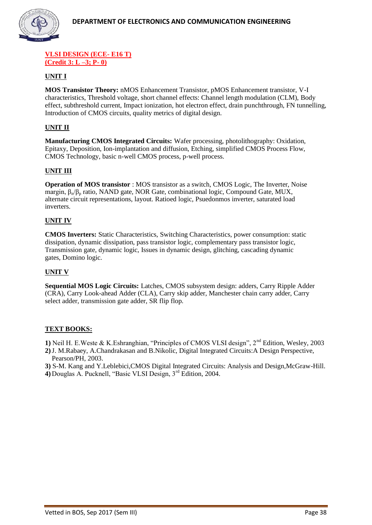

#### **VLSI DESIGN (ECE- E16 T) (Credit 3: L –3; P- 0)**

# **UNIT I**

**MOS Transistor Theory:** nMOS Enhancement Transistor, pMOS Enhancement transistor, V-I characteristics, Threshold voltage, short channel effects: Channel length modulation (CLM), Body effect, subthreshold current, Impact ionization, hot electron effect, drain punchthrough, FN tunnelling, Introduction of CMOS circuits, quality metrics of digital design.

#### **UNIT II**

**Manufacturing CMOS Integrated Circuits:** Wafer processing, photolithography: Oxidation, Epitaxy, Deposition, Ion-implantation and diffusion, Etching, simplified CMOS Process Flow, CMOS Technology, basic n-well CMOS process, p-well process.

#### **UNIT III**

**Operation of MOS transistor** : MOS transistor as a switch, CMOS Logic, The Inverter, Noise margin,  $\beta_n/\beta_p$  ratio, NAND gate, NOR Gate, combinational logic, Compound Gate, MUX, alternate circuit representations, layout. Ratioed logic, Psuedonmos inverter, saturated load inverters.

#### **UNIT IV**

**CMOS Inverters:** Static Characteristics, Switching Characteristics, power consumption: static dissipation, dynamic dissipation, pass transistor logic, complementary pass transistor logic, Transmission gate, dynamic logic, Issues in dynamic design, glitching, cascading dynamic gates, Domino logic.

#### **UNIT V**

**Sequential MOS Logic Circuits:** Latches, CMOS subsystem design: adders, Carry Ripple Adder (CRA), Carry Look-ahead Adder (CLA), Carry skip adder, Manchester chain carry adder, Carry select adder, transmission gate adder, SR flip flop.

#### **TEXT BOOKS:**

1) Neil H. E. Weste & K. Eshranghian, "Principles of CMOS VLSI design", 2<sup>nd</sup> Edition, Wesley, 2003

**2)**J. M.Rabaey, A.Chandrakasan and B.Nikolic, Digital Integrated Circuits:A Design Perspective, Pearson/PH, 2003.

**3)** S-M. Kang and Y.Leblebici,CMOS Digital Integrated Circuits: Analysis and Design,McGraw-Hill.

**4)** Douglas A. Pucknell, "Basic VLSI Design, 3rd Edition, 2004.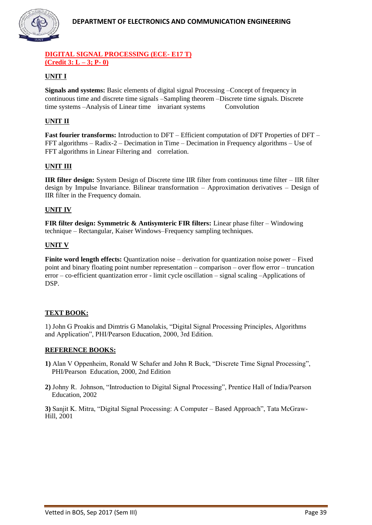

#### **DIGITAL SIGNAL PROCESSING (ECE- E17 T) (Credit 3: L – 3; P- 0)**

# **UNIT I**

**Signals and systems:** Basic elements of digital signal Processing –Concept of frequency in continuous time and discrete time signals –Sampling theorem –Discrete time signals. Discrete time systems –Analysis of Linear time invariant systems Convolution

#### **UNIT II**

**Fast fourier transforms:** Introduction to DFT – Efficient computation of DFT Properties of DFT – FFT algorithms – Radix-2 – Decimation in Time – Decimation in Frequency algorithms – Use of FFT algorithms in Linear Filtering and correlation.

#### **UNIT III**

**IIR filter design:** System Design of Discrete time IIR filter from continuous time filter – IIR filter design by Impulse Invariance. Bilinear transformation – Approximation derivatives – Design of IIR filter in the Frequency domain.

#### **UNIT IV**

**FIR filter design: Symmetric & Antisymteric FIR filters:** Linear phase filter – Windowing technique – Rectangular, Kaiser Windows–Frequency sampling techniques.

#### **UNIT V**

**Finite word length effects:** Quantization noise – derivation for quantization noise power – Fixed point and binary floating point number representation – comparison – over flow error – truncation error – co-efficient quantization error - limit cycle oscillation – signal scaling –Applications of DSP.

#### **TEXT BOOK:**

1) John G Proakis and Dimtris G Manolakis, "Digital Signal Processing Principles, Algorithms and Application", PHI/Pearson Education, 2000, 3rd Edition.

#### **REFERENCE BOOKS:**

- **1)** Alan V Oppenheim, Ronald W Schafer and John R Buck, "Discrete Time Signal Processing", PHI/Pearson Education, 2000, 2nd Edition
- **2)** Johny R. Johnson, "Introduction to Digital Signal Processing", Prentice Hall of India/Pearson Education, 2002

**3)** Sanjit K. Mitra, "Digital Signal Processing: A Computer – Based Approach", Tata McGraw-Hill, 2001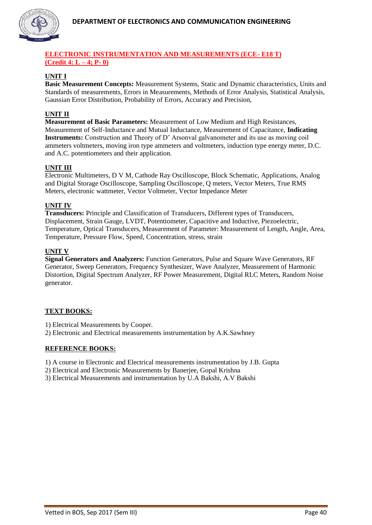

#### **ELECTRONIC INSTRUMENTATION AND MEASUREMENTS (ECE- E18 T) (Credit 4: L – 4; P- 0)**

#### **UNIT I**

**Basic Measurement Concepts:** Measurement Systems, Static and Dynamic characteristics, Units and Standards of measurements, Errors in Measurements, Methods of Error Analysis, Statistical Analysis, Gaussian Error Distribution, Probability of Errors, Accuracy and Precision,

#### **UNIT II**

**Measurement of Basic Parameters:** Measurement of Low Medium and High Resistances, Measurement of Self-Inductance and Mutual Inductance, Measurement of Capacitance, **Indicating Instruments:** Construction and Theory of D' Arsonval galvanometer and its use as moving coil ammeters voltmeters, moving iron type ammeters and voltmeters, induction type energy meter, D.C. and A.C. potentiometers and their application.

#### **UNIT III**

Electronic Multimeters, D V M, Cathode Ray Oscilloscope, Block Schematic, Applications, Analog and Digital Storage Oscilloscope, Sampling Oscilloscope, Q meters, Vector Meters, True RMS Meters, electronic wattmeter, Vector Voltmeter, Vector Impedance Meter

#### **UNIT IV**

**Transducers:** Principle and Classification of Transducers, Different types of Transducers, Displacement, Strain Gauge, LVDT, Potentiometer, Capacitive and Inductive, Piezoelectric, Temperature, Optical Transducers, Measurement of Parameter: Measurement of Length, Angle, Area, Temperature, Pressure Flow, Speed, Concentration, stress, strain

#### **UNIT V**

**Signal Generators and Analyzers:** Function Generators, Pulse and Square Wave Generators, RF Generator, Sweep Generators, Frequency Synthesizer, Wave Analyzer, Measurement of Harmonic Distortion, Digital Spectrum Analyzer, RF Power Measurement, Digital RLC Meters, Random Noise generator.

#### **TEXT BOOKS:**

1) Electrical Measurements by Cooper.

2) Electronic and Electrical measurements instrumentation by A.K.Sawhney

#### **REFERENCE BOOKS:**

1) A course in Electronic and Electrical measurements instrumentation by J.B. Gupta

2) Electrical and Electronic Measurements by Banerjee, Gopal Krishna

3) Electrical Measurements and instrumentation by U.A Bakshi, A.V Bakshi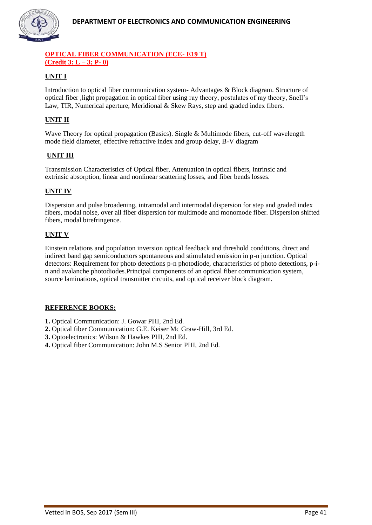

#### **OPTICAL FIBER COMMUNICATION (ECE- E19 T) (Credit 3: L – 3; P- 0)**

# **UNIT I**

Introduction to optical fiber communication system- Advantages & Block diagram. Structure of optical fiber ,light propagation in optical fiber using ray theory, postulates of ray theory, Snell's Law, TIR, Numerical aperture, Meridional & Skew Rays, step and graded index fibers.

# **UNIT II**

Wave Theory for optical propagation (Basics). Single & Multimode fibers, cut-off wavelength mode field diameter, effective refractive index and group delay, B-V diagram

#### **UNIT III**

Transmission Characteristics of Optical fiber, Attenuation in optical fibers, intrinsic and extrinsic absorption, linear and nonlinear scattering losses, and fiber bends losses.

#### **UNIT IV**

Dispersion and pulse broadening, intramodal and intermodal dispersion for step and graded index fibers, modal noise, over all fiber dispersion for multimode and monomode fiber. Dispersion shifted fibers, modal birefringence.

#### **UNIT V**

Einstein relations and population inversion optical feedback and threshold conditions, direct and indirect band gap semiconductors spontaneous and stimulated emission in p-n junction. Optical detectors: Requirement for photo detections p-n photodiode, characteristics of photo detections, p-in and avalanche photodiodes.Principal components of an optical fiber communication system, source laminations, optical transmitter circuits, and optical receiver block diagram.

#### **REFERENCE BOOKS:**

- **1.** Optical Communication: J. Gowar PHI, 2nd Ed.
- **2.** Optical fiber Communication: G.E. Keiser Mc Graw-Hill, 3rd Ed.
- **3.** Optoelectronics: Wilson & Hawkes PHI, 2nd Ed.
- **4.** Optical fiber Communication: John M.S Senior PHI, 2nd Ed.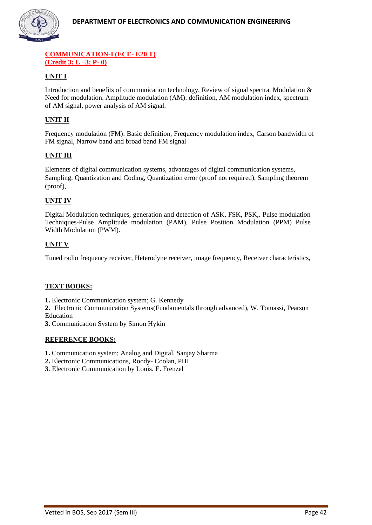

#### **COMMUNICATION-I (ECE- E20 T) (Credit 3: L –3; P- 0)**

# **UNIT I**

Introduction and benefits of communication technology, Review of signal spectra, Modulation & Need for modulation. Amplitude modulation (AM): definition, AM modulation index, spectrum of AM signal, power analysis of AM signal.

# **UNIT II**

Frequency modulation (FM): Basic definition, Frequency modulation index, Carson bandwidth of FM signal, Narrow band and broad band FM signal

#### **UNIT III**

Elements of digital communication systems, advantages of digital communication systems, Sampling, Quantization and Coding, Quantization error (proof not required), Sampling theorem (proof),

#### **UNIT IV**

Digital Modulation techniques, generation and detection of ASK, FSK, PSK,. Pulse modulation Techniques-Pulse Amplitude modulation (PAM), Pulse Position Modulation (PPM) Pulse Width Modulation (PWM).

#### **UNIT V**

Tuned radio frequency receiver, Heterodyne receiver, image frequency, Receiver characteristics,

#### **TEXT BOOKS:**

**1.** Electronic Communication system; G. Kennedy

**2.** Electronic Communication Systems(Fundamentals through advanced), W. Tomassi, Pearson Education

**3.** Communication System by Simon Hykin

#### **REFERENCE BOOKS:**

**1.** Communication system; Analog and Digital, Sanjay Sharma

- **2.** Electronic Communications, Roody- Coolan, PHI
- **3**. Electronic Communication by Louis. E. Frenzel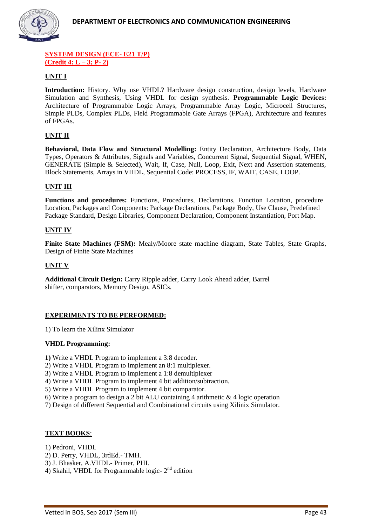

#### **SYSTEM DESIGN (ECE- E21 T/P) (Credit 4: L – 3; P- 2)**

#### **UNIT I**

**Introduction:** History. Why use VHDL? Hardware design construction, design levels, Hardware Simulation and Synthesis, Using VHDL for design synthesis. **Programmable Logic Devices:** Architecture of Programmable Logic Arrays, Programmable Array Logic, Microcell Structures, Simple PLDs, Complex PLDs, Field Programmable Gate Arrays (FPGA), Architecture and features of FPGAs.

#### **UNIT II**

**Behavioral, Data Flow and Structural Modelling:** Entity Declaration, Architecture Body, Data Types, Operators & Attributes, Signals and Variables, Concurrent Signal, Sequential Signal, WHEN, GENERATE (Simple & Selected), Wait, If, Case, Null, Loop, Exit, Next and Assertion statements, Block Statements, Arrays in VHDL, Sequential Code: PROCESS, IF, WAIT, CASE, LOOP.

#### **UNIT III**

**Functions and procedures:** Functions, Procedures, Declarations, Function Location, procedure Location, Packages and Components: Package Declarations, Package Body, Use Clause, Predefined Package Standard, Design Libraries, Component Declaration, Component Instantiation, Port Map.

#### **UNIT IV**

**Finite State Machines (FSM):** Mealy/Moore state machine diagram, State Tables, State Graphs, Design of Finite State Machines

#### **UNIT V**

**Additional Circuit Design:** Carry Ripple adder, Carry Look Ahead adder, Barrel shifter, comparators, Memory Design, ASICs.

#### **EXPERIMENTS TO BE PERFORMED:**

1) To learn the Xilinx Simulator

#### **VHDL Programming:**

**1)** Write a VHDL Program to implement a 3:8 decoder.

- 2) Write a VHDL Program to implement an 8:1 multiplexer.
- 3) Write a VHDL Program to implement a 1:8 demultiplexer
- 4) Write a VHDL Program to implement 4 bit addition/subtraction.
- 5) Write a VHDL Program to implement 4 bit comparator.
- 6) Write a program to design a 2 bit ALU containing 4 arithmetic & 4 logic operation
- 7) Design of different Sequential and Combinational circuits using Xilinix Simulator.

#### **TEXT BOOKS**:

1) Pedroni, VHDL

- 2) D. Perry, VHDL, 3rdEd.- TMH.
- 3) J. Bhasker, A.VHDL- Primer, PHI.
- 4) Skahil, VHDL for Programmable logic- $2<sup>nd</sup>$  edition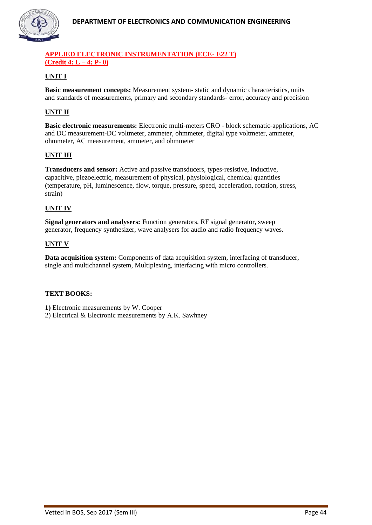

#### **APPLIED ELECTRONIC INSTRUMENTATION (ECE- E22 T) (Credit 4: L – 4; P- 0)**

# **UNIT I**

**Basic measurement concepts:** Measurement system- static and dynamic characteristics, units and standards of measurements, primary and secondary standards- error, accuracy and precision

# **UNIT II**

**Basic electronic measurements:** Electronic multi-meters CRO - block schematic-applications, AC and DC measurement-DC voltmeter, ammeter, ohmmeter, digital type voltmeter, ammeter, ohmmeter, AC measurement, ammeter, and ohmmeter

#### **UNIT III**

**Transducers and sensor:** Active and passive transducers, types-resistive, inductive, capacitive, piezoelectric, measurement of physical, physiological, chemical quantities (temperature, pH, luminescence, flow, torque, pressure, speed, acceleration, rotation, stress, strain)

#### **UNIT IV**

**Signal generators and analysers:** Function generators, RF signal generator, sweep generator, frequency synthesizer, wave analysers for audio and radio frequency waves.

#### **UNIT V**

**Data acquisition system:** Components of data acquisition system, interfacing of transducer, single and multichannel system, Multiplexing, interfacing with micro controllers.

#### **TEXT BOOKS:**

**1)** Electronic measurements by W. Cooper

2) Electrical & Electronic measurements by A.K. Sawhney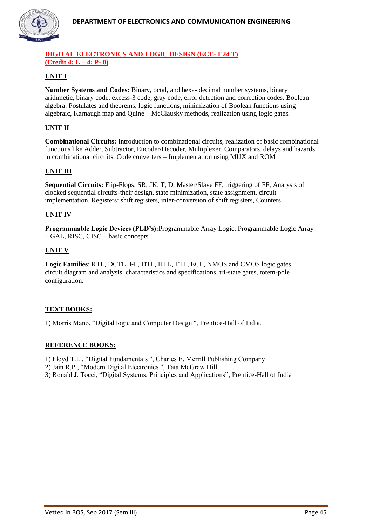

#### **DIGITAL ELECTRONICS AND LOGIC DESIGN (ECE- E24 T) (Credit 4: L – 4; P- 0)**

# **UNIT I**

**Number Systems and Codes:** Binary, octal, and hexa- decimal number systems, binary arithmetic, binary code, excess-3 code, gray code, error detection and correction codes. Boolean algebra: Postulates and theorems, logic functions, minimization of Boolean functions using algebraic, Karnaugh map and Quine – McClausky methods, realization using logic gates.

# **UNIT II**

**Combinational Circuits:** Introduction to combinational circuits, realization of basic combinational functions like Adder, Subtractor, Encoder/Decoder, Multiplexer, Comparators, delays and hazards in combinational circuits, Code converters – Implementation using MUX and ROM

# **UNIT III**

**Sequential Circuits:** Flip-Flops: SR, JK, T, D, Master/Slave FF, triggering of FF, Analysis of clocked sequential circuits-their design, state minimization, state assignment, circuit implementation, Registers: shift registers, inter-conversion of shift registers, Counters.

#### **UNIT IV**

**Programmable Logic Devices (PLD's):**Programmable Array Logic, Programmable Logic Array – GAL, RISC, CISC – basic concepts.

#### **UNIT V**

**Logic Families**: RTL, DCTL, I²L, DTL, HTL, TTL, ECL, NMOS and CMOS logic gates, circuit diagram and analysis, characteristics and specifications, tri-state gates, totem-pole configuration.

# **TEXT BOOKS:**

1) Morris Mano, "Digital logic and Computer Design ", Prentice-Hall of India.

#### **REFERENCE BOOKS:**

1) Floyd T.L., "Digital Fundamentals ", Charles E. Merrill Publishing Company

2) Jain R.P., "Modern Digital Electronics ", Tata McGraw Hill.

3) Ronald J. Tocci, "Digital Systems, Principles and Applications", Prentice-Hall of India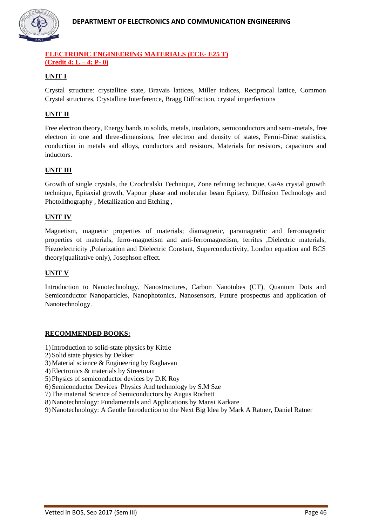

#### **ELECTRONIC ENGINEERING MATERIALS (ECE- E25 T) (Credit 4: L – 4; P- 0)**

# **UNIT I**

Crystal structure: crystalline state, Bravais lattices, Miller indices, Reciprocal lattice, Common Crystal structures, Crystalline Interference, Bragg Diffraction, crystal imperfections

#### **UNIT II**

Free electron theory, Energy bands in solids, metals, insulators, semiconductors and semi-metals, free electron in one and three-dimensions, free electron and density of states, Fermi-Dirac statistics, conduction in metals and alloys, conductors and resistors, Materials for resistors, capacitors and inductors.

#### **UNIT III**

Growth of single crystals, the Czochralski Technique, Zone refining technique, GaAs crystal growth technique, Epitaxial growth, Vapour phase and molecular beam Epitaxy, Diffusion Technology and Photolithography , Metallization and Etching ,

#### **UNIT IV**

Magnetism, magnetic properties of materials; diamagnetic, paramagnetic and ferromagnetic properties of materials, ferro-magnetism and anti-ferromagnetism, ferrites ,Dielectric materials, Piezoelectricity ,Polarization and Dielectric Constant, Superconductivity, London equation and BCS theory(qualitative only), Josephson effect.

#### **UNIT V**

Introduction to Nanotechnology, Nanostructures, Carbon Nanotubes (CT), Quantum Dots and Semiconductor Nanoparticles, Nanophotonics, Nanosensors, Future prospectus and application of Nanotechnology.

#### **RECOMMENDED BOOKS:**

- 1)Introduction to solid-state physics by Kittle
- 2) Solid state physics by Dekker
- 3) Material science & Engineering by Raghavan
- 4) Electronics & materials by Streetman
- 5) Physics of semiconductor devices by D.K Roy
- 6) Semiconductor Devices Physics And technology by S.M Sze
- 7) The material Science of Semiconductors by Augus Rochett
- 8) Nanotechnology: Fundamentals and Applications by Mansi Karkare
- 9) Nanotechnology: A Gentle Introduction to the Next Big Idea by Mark A Ratner, Daniel Ratner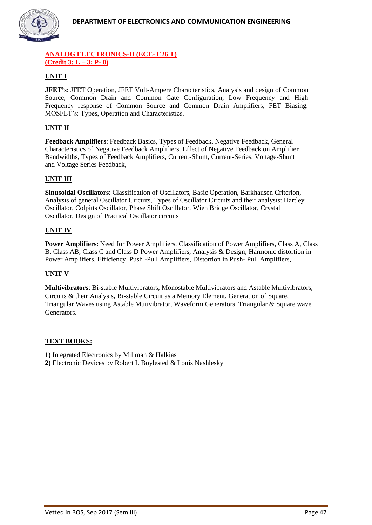

#### **ANALOG ELECTRONICS-II (ECE- E26 T) (Credit 3: L – 3; P- 0)**

# **UNIT I**

**JFET's**: JFET Operation, JFET Volt-Ampere Characteristics, Analysis and design of Common Source, Common Drain and Common Gate Configuration, Low Frequency and High Frequency response of Common Source and Common Drain Amplifiers, FET Biasing, MOSFET's: Types, Operation and Characteristics.

# **UNIT II**

**Feedback Amplifiers**: Feedback Basics, Types of Feedback, Negative Feedback, General Characteristics of Negative Feedback Amplifiers, Effect of Negative Feedback on Amplifier Bandwidths, Types of Feedback Amplifiers, Current-Shunt, Current-Series, Voltage-Shunt and Voltage Series Feedback,

#### **UNIT III**

**Sinusoidal Oscillators**: Classification of Oscillators, Basic Operation, Barkhausen Criterion, Analysis of general Oscillator Circuits, Types of Oscillator Circuits and their analysis: Hartley Oscillator, Colpitts Oscillator, Phase Shift Oscillator, Wien Bridge Oscillator, Crystal Oscillator, Design of Practical Oscillator circuits

#### **UNIT IV**

**Power Amplifiers**: Need for Power Amplifiers, Classification of Power Amplifiers, Class A, Class B, Class AB, Class C and Class D Power Amplifiers, Analysis & Design, Harmonic distortion in Power Amplifiers, Efficiency, Push -Pull Amplifiers, Distortion in Push- Pull Amplifiers,

#### **UNIT V**

**Multivibrators**: Bi-stable Multivibrators, Monostable Multivibrators and Astable Multivibrators, Circuits & their Analysis, Bi-stable Circuit as a Memory Element, Generation of Square, Triangular Waves using Astable Mutivibrator, Waveform Generators, Triangular & Square wave Generators.

#### **TEXT BOOKS:**

**1)** Integrated Electronics by Millman & Halkias

**2)** Electronic Devices by Robert L Boylested & Louis Nashlesky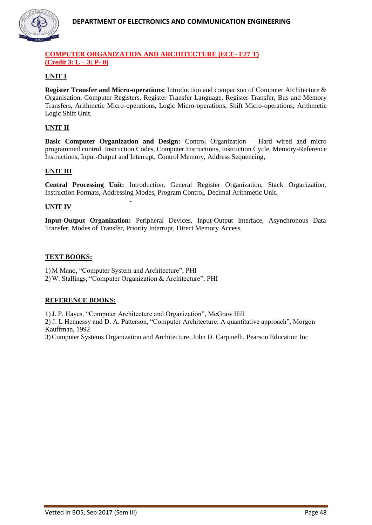

#### **COMPUTER ORGANIZATION AND ARCHITECTURE (ECE- E27 T) (Credit 3: L – 3; P- 0)**

# **UNIT I**

**Register Transfer and Micro-operations:** Introduction and comparison of Computer Architecture & Organisation, Computer Registers, Register Transfer Language, Register Transfer, Bus and Memory Transfers, Arithmetic Micro-operations, Logic Micro-operations, Shift Micro-operations, Arithmetic Logic Shift Unit.

# **UNIT II**

**Basic Computer Organization and Design:** Control Organization – Hard wired and micro programmed control. Instruction Codes, Computer Instructions, Instruction Cycle, Memory-Reference Instructions, Input-Output and Interrupt, Control Memory, Address Sequencing,

#### **UNIT III**

**Central Processing Unit:** Introduction, General Register Organization, Stack Organization, Instruction Formats, Addressing Modes, Program Control, Decimal Arithmetic Unit.

#### **UNIT IV**

**Input-Output Organization:** Peripheral Devices, Input-Output Interface, Asynchronous Data Transfer, Modes of Transfer, Priority Interrupt, Direct Memory Access.

#### **TEXT BOOKS:**

1) M Mano, "Computer System and Architecture", PHI 2) W. Stallings, "Computer Organization & Architecture", PHI

#### **REFERENCE BOOKS:**

1)J. P. Hayes, "Computer Architecture and Organization", McGraw Hill 2) J. L Hennessy and D. A. Patterson, "Computer Architecture: A quantitative approach", Morgon Kauffman, 1992 3)Computer Systems Organization and Architecture, John D. Carpinelli, Pearson Education Inc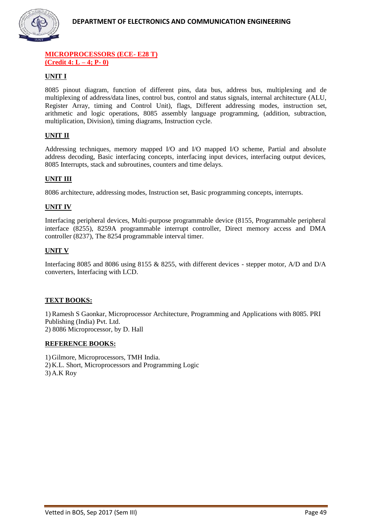

#### **MICROPROCESSORS (ECE- E28 T) (Credit 4: L – 4; P- 0)**

# **UNIT I**

8085 pinout diagram, function of different pins, data bus, address bus, multiplexing and de multiplexing of address/data lines, control bus, control and status signals, internal architecture (ALU, Register Array, timing and Control Unit), flags, Different addressing modes, instruction set, arithmetic and logic operations, 8085 assembly language programming, (addition, subtraction, multiplication, Division), timing diagrams, Instruction cycle.

# **UNIT II**

Addressing techniques, memory mapped I/O and I/O mapped I/O scheme, Partial and absolute address decoding, Basic interfacing concepts, interfacing input devices, interfacing output devices, 8085 Interrupts, stack and subroutines, counters and time delays.

#### **UNIT III**

8086 architecture, addressing modes, Instruction set, Basic programming concepts, interrupts.

#### **UNIT IV**

Interfacing peripheral devices, Multi-purpose programmable device (8155, Programmable peripheral interface (8255), 8259A programmable interrupt controller, Direct memory access and DMA controller (8237), The 8254 programmable interval timer.

#### **UNIT V**

Interfacing 8085 and 8086 using 8155 & 8255, with different devices - stepper motor, A/D and D/A converters, Interfacing with LCD.

#### **TEXT BOOKS:**

1) Ramesh S Gaonkar, Microprocessor Architecture, Programming and Applications with 8085. PRI Publishing (India) Pvt. Ltd. 2) 8086 Microprocessor, by D. Hall

#### **REFERENCE BOOKS:**

1) Gilmore, Microprocessors, TMH India. 2) K.L. Short, Microprocessors and Programming Logic 3) A.K Roy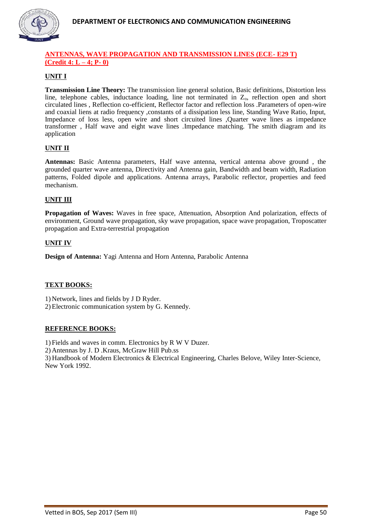

#### **ANTENNAS, WAVE PROPAGATION AND TRANSMISSION LINES (ECE- E29 T) (Credit 4: L – 4; P- 0)**

# **UNIT I**

**Transmission Line Theory:** The transmission line general solution, Basic definitions, Distortion less line, telephone cables, inductance loading, line not terminated in  $Z<sub>o</sub>$ , reflection open and short circulated lines , Reflection co-efficient, Reflector factor and reflection loss .Parameters of open-wire and coaxial liens at radio frequency ,constants of a dissipation less line, Standing Wave Ratio, Input, Impedance of loss less, open wire and short circuited lines ,Quarter wave lines as impedance transformer , Half wave and eight wave lines .Impedance matching. The smith diagram and its application

#### **UNIT II**

**Antennas:** Basic Antenna parameters, Half wave antenna, vertical antenna above ground , the grounded quarter wave antenna, Directivity and Antenna gain, Bandwidth and beam width, Radiation patterns, Folded dipole and applications. Antenna arrays, Parabolic reflector, properties and feed mechanism.

#### **UNIT III**

**Propagation of Waves:** Waves in free space, Attenuation, Absorption And polarization, effects of environment, Ground wave propagation, sky wave propagation, space wave propagation, Troposcatter propagation and Extra-terrestrial propagation

#### **UNIT IV**

**Design of Antenna:** Yagi Antenna and Horn Antenna, Parabolic Antenna

#### **TEXT BOOKS:**

1) Network, lines and fields by J D Ryder.

2) Electronic communication system by G. Kennedy.

#### **REFERENCE BOOKS:**

1) Fields and waves in comm. Electronics by R W V Duzer.

2) Antennas by J. D .Kraus, McGraw Hill Pub.ss

3) Handbook of Modern Electronics & Electrical Engineering, Charles Belove, Wiley Inter-Science, New York 1992.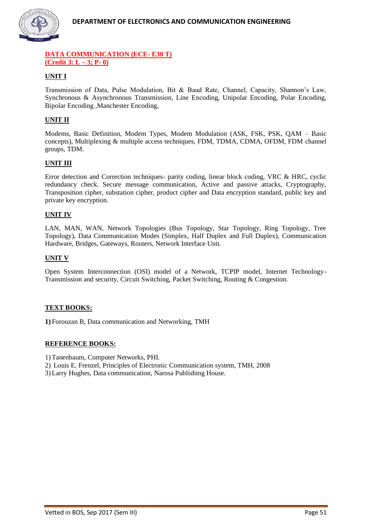

#### **DATA COMMUNICATION (ECE- E30 T) (Credit 3: L – 3; P- 0)**

# **UNIT I**

Transmission of Data, Pulse Modulation, Bit & Baud Rate, Channel, Capacity, Shannon's Law, Synchronous & Asynchronous Transmission, Line Encoding, Unipolar Encoding, Polar Encoding, Bipolar Encoding ,Manchester Encoding,

# **UNIT II**

Modems, Basic Definition, Modem Types, Modem Modulation (ASK, FSK, PSK, QAM – Basic concepts), Multiplexing & multiple access techniques, FDM, TDMA, CDMA, OFDM, FDM channel groups, TDM.

#### **UNIT III**

Error detection and Correction techniques- parity coding, linear block coding, VRC & HRC, cyclic redundancy check. Secure message communication, Active and passive attacks, Cryptography, Transposition cipher, substation cipher, product cipher and Data encryption standard, public key and private key encryption.

#### **UNIT IV**

LAN, MAN, WAN, Network Topologies (Bus Topology, Star Topology, Ring Topology, Tree Topology), Data Communication Modes (Simplex, Half Duplex and Full Duplex), Communication Hardware, Bridges, Gateways, Routers, Network Interface Unit.

#### **UNIT V**

Open System Interconnection (OSI) model of a Network, TCPIP model, Internet Technology-Transmission and security, Circuit Switching, Packet Switching, Routing & Congestion.

#### **TEXT BOOKS:**

**1)** Forouzan B, Data communication and Networking, TMH

#### **REFERENCE BOOKS:**

1) Tanenbaum, Computer Networks, PHI.

2) Louis E. Frenzel, Principles of Electronic Communication system, TMH, 2008

3) Larry Hughes, Data communication, Narosa Publishing House.